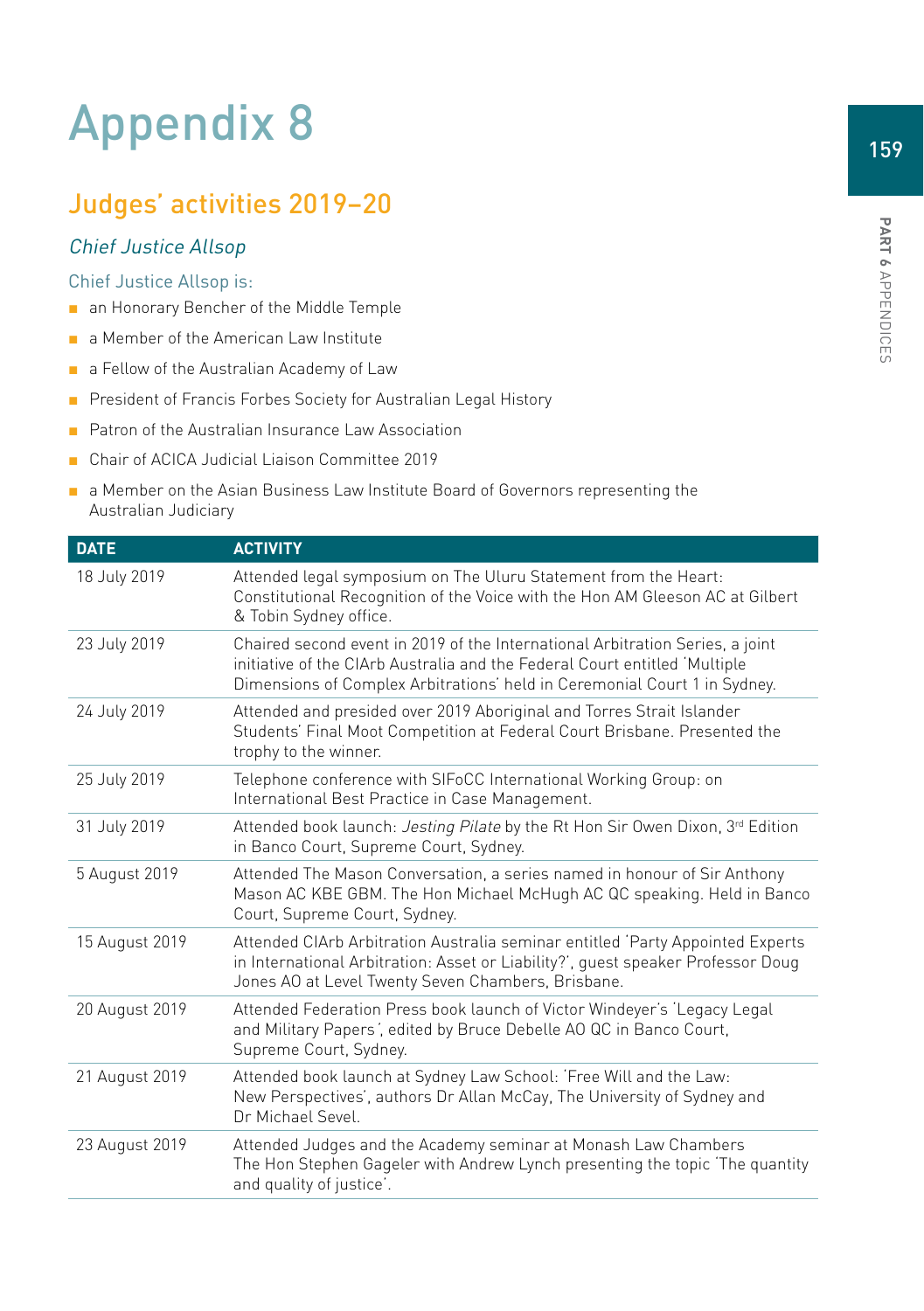# Appendix 8

# Judges' activities 2019–20

## Chief Justice Allsop

#### Chief Justice Allsop is:

- an Honorary Bencher of the Middle Temple
- a Member of the American Law Institute
- a Fellow of the Australian Academy of Law
- President of Francis Forbes Society for Australian Legal History
- Patron of the Australian Insurance Law Association
- Chair of ACICA Judicial Liaison Committee 2019
- a Member on the Asian Business Law Institute Board of Governors representing the Australian Judiciary

| <b>DATE</b>    | <b>ACTIVITY</b>                                                                                                                                                                                                                          |
|----------------|------------------------------------------------------------------------------------------------------------------------------------------------------------------------------------------------------------------------------------------|
| 18 July 2019   | Attended legal symposium on The Uluru Statement from the Heart:<br>Constitutional Recognition of the Voice with the Hon AM Gleeson AC at Gilbert<br>& Tobin Sydney office.                                                               |
| 23 July 2019   | Chaired second event in 2019 of the International Arbitration Series, a joint<br>initiative of the CIArb Australia and the Federal Court entitled 'Multiple<br>Dimensions of Complex Arbitrations' held in Ceremonial Court 1 in Sydney. |
| 24 July 2019   | Attended and presided over 2019 Aboriginal and Torres Strait Islander<br>Students' Final Moot Competition at Federal Court Brisbane. Presented the<br>trophy to the winner.                                                              |
| 25 July 2019   | Telephone conference with SIFoCC International Working Group: on<br>International Best Practice in Case Management.                                                                                                                      |
| 31 July 2019   | Attended book launch: Jesting Pilate by the Rt Hon Sir Owen Dixon, 3rd Edition<br>in Banco Court, Supreme Court, Sydney.                                                                                                                 |
| 5 August 2019  | Attended The Mason Conversation, a series named in honour of Sir Anthony<br>Mason AC KBE GBM. The Hon Michael McHugh AC QC speaking. Held in Banco<br>Court, Supreme Court, Sydney.                                                      |
| 15 August 2019 | Attended CIArb Arbitration Australia seminar entitled 'Party Appointed Experts<br>in International Arbitration: Asset or Liability?', quest speaker Professor Doug<br>Jones AO at Level Twenty Seven Chambers, Brisbane.                 |
| 20 August 2019 | Attended Federation Press book launch of Victor Windeyer's 'Legacy Legal<br>and Military Papers', edited by Bruce Debelle AO QC in Banco Court,<br>Supreme Court, Sydney.                                                                |
| 21 August 2019 | Attended book launch at Sydney Law School: 'Free Will and the Law:<br>New Perspectives', authors Dr Allan McCay, The University of Sydney and<br>Dr Michael Sevel.                                                                       |
| 23 August 2019 | Attended Judges and the Academy seminar at Monash Law Chambers<br>The Hon Stephen Gageler with Andrew Lynch presenting the topic 'The quantity<br>and quality of justice'.                                                               |

159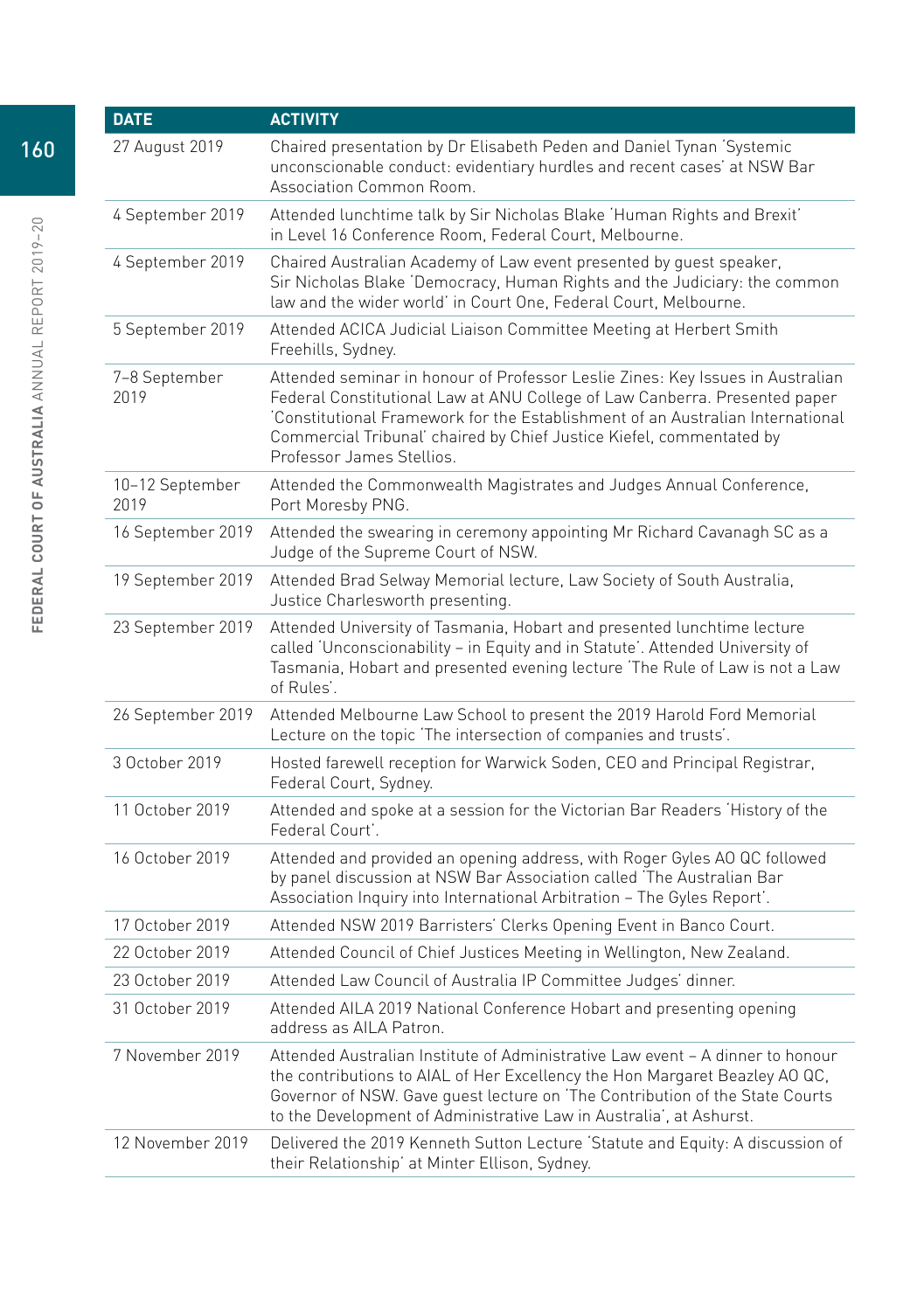| <b>DATE</b>             | <b>ACTIVITY</b>                                                                                                                                                                                                                                                                                                                                    |
|-------------------------|----------------------------------------------------------------------------------------------------------------------------------------------------------------------------------------------------------------------------------------------------------------------------------------------------------------------------------------------------|
| 27 August 2019          | Chaired presentation by Dr Elisabeth Peden and Daniel Tynan 'Systemic<br>unconscionable conduct: evidentiary hurdles and recent cases' at NSW Bar<br>Association Common Room.                                                                                                                                                                      |
| 4 September 2019        | Attended lunchtime talk by Sir Nicholas Blake 'Human Rights and Brexit'<br>in Level 16 Conference Room, Federal Court, Melbourne.                                                                                                                                                                                                                  |
| 4 September 2019        | Chaired Australian Academy of Law event presented by guest speaker,<br>Sir Nicholas Blake 'Democracy, Human Rights and the Judiciary: the common<br>law and the wider world' in Court One, Federal Court, Melbourne.                                                                                                                               |
| 5 September 2019        | Attended ACICA Judicial Liaison Committee Meeting at Herbert Smith<br>Freehills, Sydney.                                                                                                                                                                                                                                                           |
| 7-8 September<br>2019   | Attended seminar in honour of Professor Leslie Zines: Key Issues in Australian<br>Federal Constitutional Law at ANU College of Law Canberra. Presented paper<br>Constitutional Framework for the Establishment of an Australian International<br>Commercial Tribunal' chaired by Chief Justice Kiefel, commentated by<br>Professor James Stellios. |
| 10-12 September<br>2019 | Attended the Commonwealth Magistrates and Judges Annual Conference,<br>Port Moresby PNG.                                                                                                                                                                                                                                                           |
| 16 September 2019       | Attended the swearing in ceremony appointing Mr Richard Cavanagh SC as a<br>Judge of the Supreme Court of NSW.                                                                                                                                                                                                                                     |
| 19 September 2019       | Attended Brad Selway Memorial lecture, Law Society of South Australia,<br>Justice Charlesworth presenting.                                                                                                                                                                                                                                         |
| 23 September 2019       | Attended University of Tasmania, Hobart and presented lunchtime lecture<br>called 'Unconscionability - in Equity and in Statute'. Attended University of<br>Tasmania, Hobart and presented evening lecture 'The Rule of Law is not a Law<br>of Rules'.                                                                                             |
| 26 September 2019       | Attended Melbourne Law School to present the 2019 Harold Ford Memorial<br>Lecture on the topic 'The intersection of companies and trusts'.                                                                                                                                                                                                         |
| 3 October 2019          | Hosted farewell reception for Warwick Soden, CEO and Principal Registrar,<br>Federal Court, Sydney.                                                                                                                                                                                                                                                |
| 11 October 2019         | Attended and spoke at a session for the Victorian Bar Readers 'History of the<br>Federal Court'.                                                                                                                                                                                                                                                   |
| 16 October 2019         | Attended and provided an opening address, with Roger Gyles AO QC followed<br>by panel discussion at NSW Bar Association called 'The Australian Bar<br>Association Inquiry into International Arbitration - The Gyles Report'.                                                                                                                      |
| 17 October 2019         | Attended NSW 2019 Barristers' Clerks Opening Event in Banco Court.                                                                                                                                                                                                                                                                                 |
| 22 October 2019         | Attended Council of Chief Justices Meeting in Wellington, New Zealand.                                                                                                                                                                                                                                                                             |
| 23 October 2019         | Attended Law Council of Australia IP Committee Judges' dinner.                                                                                                                                                                                                                                                                                     |
| 31 October 2019         | Attended AILA 2019 National Conference Hobart and presenting opening<br>address as AILA Patron.                                                                                                                                                                                                                                                    |
| 7 November 2019         | Attended Australian Institute of Administrative Law event – A dinner to honour<br>the contributions to AIAL of Her Excellency the Hon Margaret Beazley AO QC,<br>Governor of NSW. Gave guest lecture on 'The Contribution of the State Courts<br>to the Development of Administrative Law in Australia', at Ashurst.                               |
| 12 November 2019        | Delivered the 2019 Kenneth Sutton Lecture 'Statute and Equity: A discussion of<br>their Relationship' at Minter Ellison, Sydney.                                                                                                                                                                                                                   |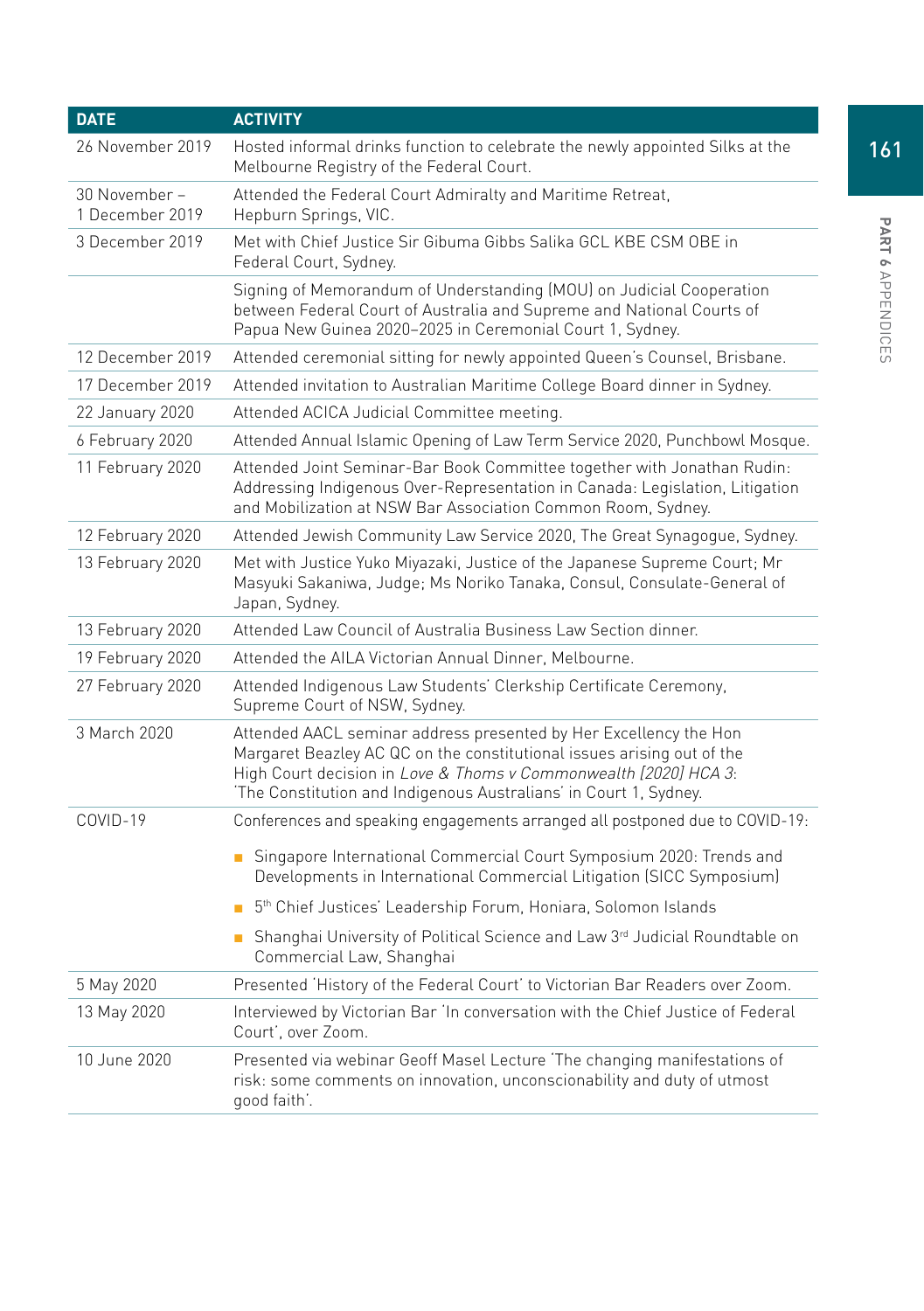| <b>DATE</b>                      | <b>ACTIVITY</b>                                                                                                                                                                                                                                                                      |
|----------------------------------|--------------------------------------------------------------------------------------------------------------------------------------------------------------------------------------------------------------------------------------------------------------------------------------|
| 26 November 2019                 | Hosted informal drinks function to celebrate the newly appointed Silks at the<br>Melbourne Registry of the Federal Court.                                                                                                                                                            |
| 30 November –<br>1 December 2019 | Attended the Federal Court Admiralty and Maritime Retreat,<br>Hepburn Springs, VIC.                                                                                                                                                                                                  |
| 3 December 2019                  | Met with Chief Justice Sir Gibuma Gibbs Salika GCL KBE CSM OBE in<br>Federal Court, Sydney.                                                                                                                                                                                          |
|                                  | Signing of Memorandum of Understanding (MOU) on Judicial Cooperation<br>between Federal Court of Australia and Supreme and National Courts of<br>Papua New Guinea 2020-2025 in Ceremonial Court 1, Sydney.                                                                           |
| 12 December 2019                 | Attended ceremonial sitting for newly appointed Queen's Counsel, Brisbane.                                                                                                                                                                                                           |
| 17 December 2019                 | Attended invitation to Australian Maritime College Board dinner in Sydney.                                                                                                                                                                                                           |
| 22 January 2020                  | Attended ACICA Judicial Committee meeting.                                                                                                                                                                                                                                           |
| 6 February 2020                  | Attended Annual Islamic Opening of Law Term Service 2020, Punchbowl Mosque.                                                                                                                                                                                                          |
| 11 February 2020                 | Attended Joint Seminar-Bar Book Committee together with Jonathan Rudin:<br>Addressing Indigenous Over-Representation in Canada: Legislation, Litigation<br>and Mobilization at NSW Bar Association Common Room, Sydney.                                                              |
| 12 February 2020                 | Attended Jewish Community Law Service 2020, The Great Synagogue, Sydney.                                                                                                                                                                                                             |
| 13 February 2020                 | Met with Justice Yuko Miyazaki, Justice of the Japanese Supreme Court; Mr<br>Masyuki Sakaniwa, Judge; Ms Noriko Tanaka, Consul, Consulate-General of<br>Japan, Sydney.                                                                                                               |
| 13 February 2020                 | Attended Law Council of Australia Business Law Section dinner.                                                                                                                                                                                                                       |
| 19 February 2020                 | Attended the AILA Victorian Annual Dinner, Melbourne.                                                                                                                                                                                                                                |
| 27 February 2020                 | Attended Indigenous Law Students' Clerkship Certificate Ceremony,<br>Supreme Court of NSW, Sydney.                                                                                                                                                                                   |
| 3 March 2020                     | Attended AACL seminar address presented by Her Excellency the Hon<br>Margaret Beazley AC QC on the constitutional issues arising out of the<br>High Court decision in Love & Thoms v Commonwealth [2020] HCA 3:<br>'The Constitution and Indigenous Australians' in Court 1, Sydney. |
| COVID-19                         | Conferences and speaking engagements arranged all postponed due to COVID-19:                                                                                                                                                                                                         |
|                                  | Singapore International Commercial Court Symposium 2020: Trends and<br>Developments in International Commercial Litigation (SICC Symposium)                                                                                                                                          |
|                                  | 5 <sup>th</sup> Chief Justices' Leadership Forum, Honiara, Solomon Islands                                                                                                                                                                                                           |
|                                  | Shanghai University of Political Science and Law 3rd Judicial Roundtable on<br>Commercial Law, Shanghai                                                                                                                                                                              |
| 5 May 2020                       | Presented 'History of the Federal Court' to Victorian Bar Readers over Zoom.                                                                                                                                                                                                         |
| 13 May 2020                      | Interviewed by Victorian Bar 'In conversation with the Chief Justice of Federal<br>Court', over Zoom.                                                                                                                                                                                |
| 10 June 2020                     | Presented via webinar Geoff Masel Lecture 'The changing manifestations of<br>risk: some comments on innovation, unconscionability and duty of utmost<br>good faith'.                                                                                                                 |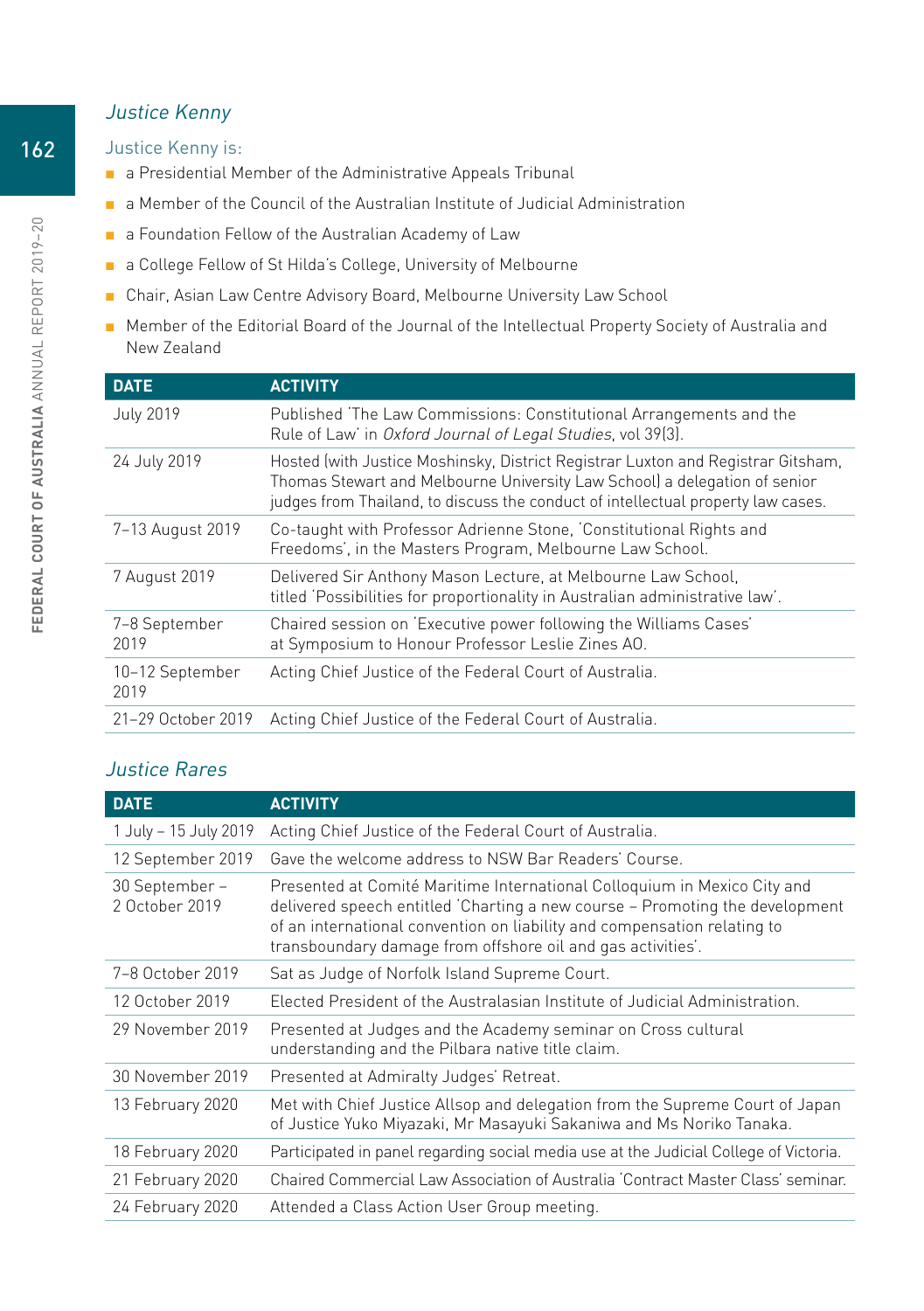## Justice Kenny

#### Justice Kenny is:

- a Presidential Member of the Administrative Appeals Tribunal
- a Member of the Council of the Australian Institute of Judicial Administration
- a Foundation Fellow of the Australian Academy of Law
- a College Fellow of St Hilda's College, University of Melbourne
- Chair, Asian Law Centre Advisory Board, Melbourne University Law School
- Member of the Editorial Board of the Journal of the Intellectual Property Society of Australia and New Zealand

| <b>DATE</b>             | <b>ACTIVITY</b>                                                                                                                                                                                                                                    |
|-------------------------|----------------------------------------------------------------------------------------------------------------------------------------------------------------------------------------------------------------------------------------------------|
| <b>July 2019</b>        | Published 'The Law Commissions: Constitutional Arrangements and the<br>Rule of Law' in Oxford Journal of Legal Studies, vol 39(3).                                                                                                                 |
| 24 July 2019            | Hosted (with Justice Moshinsky, District Registrar Luxton and Registrar Gitsham,<br>Thomas Stewart and Melbourne University Law School) a delegation of senior<br>judges from Thailand, to discuss the conduct of intellectual property law cases. |
| 7-13 August 2019        | Co-taught with Professor Adrienne Stone, 'Constitutional Rights and<br>Freedoms', in the Masters Program, Melbourne Law School.                                                                                                                    |
| 7 August 2019           | Delivered Sir Anthony Mason Lecture, at Melbourne Law School,<br>titled 'Possibilities for proportionality in Australian administrative law'.                                                                                                      |
| 7-8 September<br>2019   | Chaired session on 'Executive power following the Williams Cases'<br>at Symposium to Honour Professor Leslie Zines AO.                                                                                                                             |
| 10-12 September<br>2019 | Acting Chief Justice of the Federal Court of Australia.                                                                                                                                                                                            |
| 21-29 October 2019      | Acting Chief Justice of the Federal Court of Australia.                                                                                                                                                                                            |
|                         |                                                                                                                                                                                                                                                    |

# Justice Rares

| <b>DATE</b>                      | <b>ACTIVITY</b>                                                                                                                                                                                                                                                                                    |
|----------------------------------|----------------------------------------------------------------------------------------------------------------------------------------------------------------------------------------------------------------------------------------------------------------------------------------------------|
| 1 July – 15 July 2019            | Acting Chief Justice of the Federal Court of Australia.                                                                                                                                                                                                                                            |
| 12 September 2019                | Gave the welcome address to NSW Bar Readers' Course.                                                                                                                                                                                                                                               |
| 30 September -<br>2 October 2019 | Presented at Comité Maritime International Colloguium in Mexico City and<br>delivered speech entitled 'Charting a new course - Promoting the development<br>of an international convention on liability and compensation relating to<br>transboundary damage from offshore oil and gas activities. |
| 7-8 October 2019                 | Sat as Judge of Norfolk Island Supreme Court.                                                                                                                                                                                                                                                      |
| 12 October 2019                  | Elected President of the Australasian Institute of Judicial Administration.                                                                                                                                                                                                                        |
| 29 November 2019                 | Presented at Judges and the Academy seminar on Cross cultural<br>understanding and the Pilbara native title claim.                                                                                                                                                                                 |
| 30 November 2019                 | Presented at Admiralty Judges' Retreat.                                                                                                                                                                                                                                                            |
| 13 February 2020                 | Met with Chief Justice Allsop and delegation from the Supreme Court of Japan<br>of Justice Yuko Miyazaki, Mr Masayuki Sakaniwa and Ms Noriko Tanaka.                                                                                                                                               |
| 18 February 2020                 | Participated in panel regarding social media use at the Judicial College of Victoria.                                                                                                                                                                                                              |
| 21 February 2020                 | Chaired Commercial Law Association of Australia 'Contract Master Class' seminar.                                                                                                                                                                                                                   |
| 24 February 2020                 | Attended a Class Action User Group meeting.                                                                                                                                                                                                                                                        |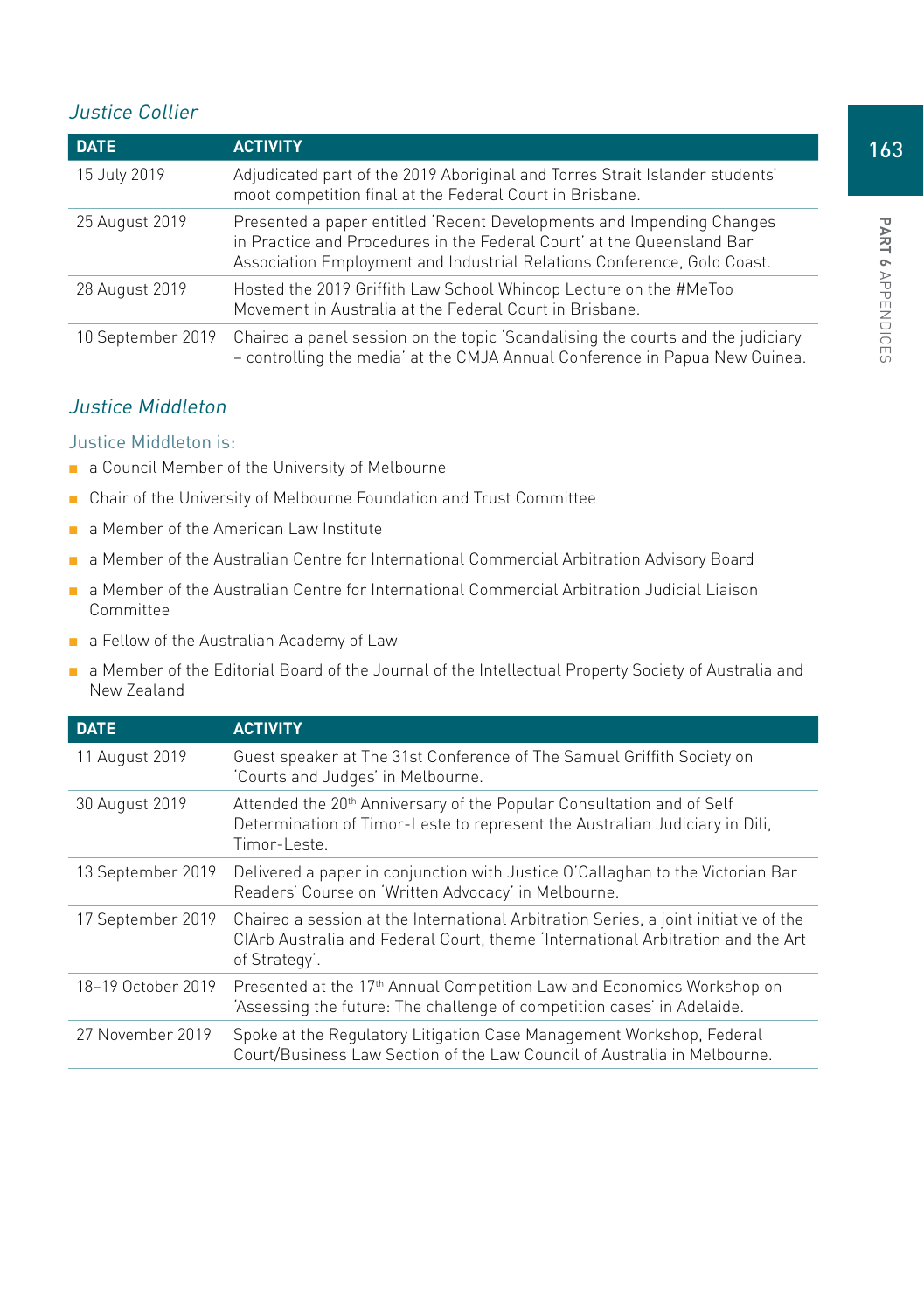## Justice Collier

| <b>DATE</b>       | <b>ACTIVITY</b>                                                                                                                                                                                                            |
|-------------------|----------------------------------------------------------------------------------------------------------------------------------------------------------------------------------------------------------------------------|
| 15 July 2019      | Adjudicated part of the 2019 Aboriginal and Torres Strait Islander students'<br>moot competition final at the Federal Court in Brisbane.                                                                                   |
| 25 August 2019    | Presented a paper entitled 'Recent Developments and Impending Changes<br>in Practice and Procedures in the Federal Court' at the Queensland Bar<br>Association Employment and Industrial Relations Conference, Gold Coast. |
| 28 August 2019    | Hosted the 2019 Griffith Law School Whincop Lecture on the #MeToo<br>Movement in Australia at the Federal Court in Brisbane.                                                                                               |
| 10 September 2019 | Chaired a panel session on the topic 'Scandalising the courts and the judiciary<br>- controlling the media' at the CMJA Annual Conference in Papua New Guinea.                                                             |

#### Justice Middleton

#### Justice Middleton is:

- a Council Member of the University of Melbourne
- Chair of the University of Melbourne Foundation and Trust Committee
- a Member of the American Law Institute
- a Member of the Australian Centre for International Commercial Arbitration Advisory Board
- a Member of the Australian Centre for International Commercial Arbitration Judicial Liaison Committee
- a Fellow of the Australian Academy of Law
- a Member of the Editorial Board of the Journal of the Intellectual Property Society of Australia and New Zealand

| <b>DATE</b>        | <b>ACTIVITY</b>                                                                                                                                                                          |
|--------------------|------------------------------------------------------------------------------------------------------------------------------------------------------------------------------------------|
| 11 August 2019     | Guest speaker at The 31st Conference of The Samuel Griffith Society on<br>'Courts and Judges' in Melbourne.                                                                              |
| 30 August 2019     | Attended the 20 <sup>th</sup> Anniversary of the Popular Consultation and of Self<br>Determination of Timor-Leste to represent the Australian Judiciary in Dili.<br>Timor-Leste.         |
| 13 September 2019  | Delivered a paper in conjunction with Justice O'Callaghan to the Victorian Bar<br>Readers' Course on 'Written Advocacy' in Melbourne.                                                    |
| 17 September 2019  | Chaired a session at the International Arbitration Series, a joint initiative of the<br>ClArb Australia and Federal Court, theme 'International Arbitration and the Art<br>of Strategy'. |
| 18-19 October 2019 | Presented at the 17 <sup>th</sup> Annual Competition Law and Economics Workshop on<br>'Assessing the future: The challenge of competition cases' in Adelaide.                            |
| 27 November 2019   | Spoke at the Regulatory Litigation Case Management Workshop, Federal<br>Court/Business Law Section of the Law Council of Australia in Melbourne.                                         |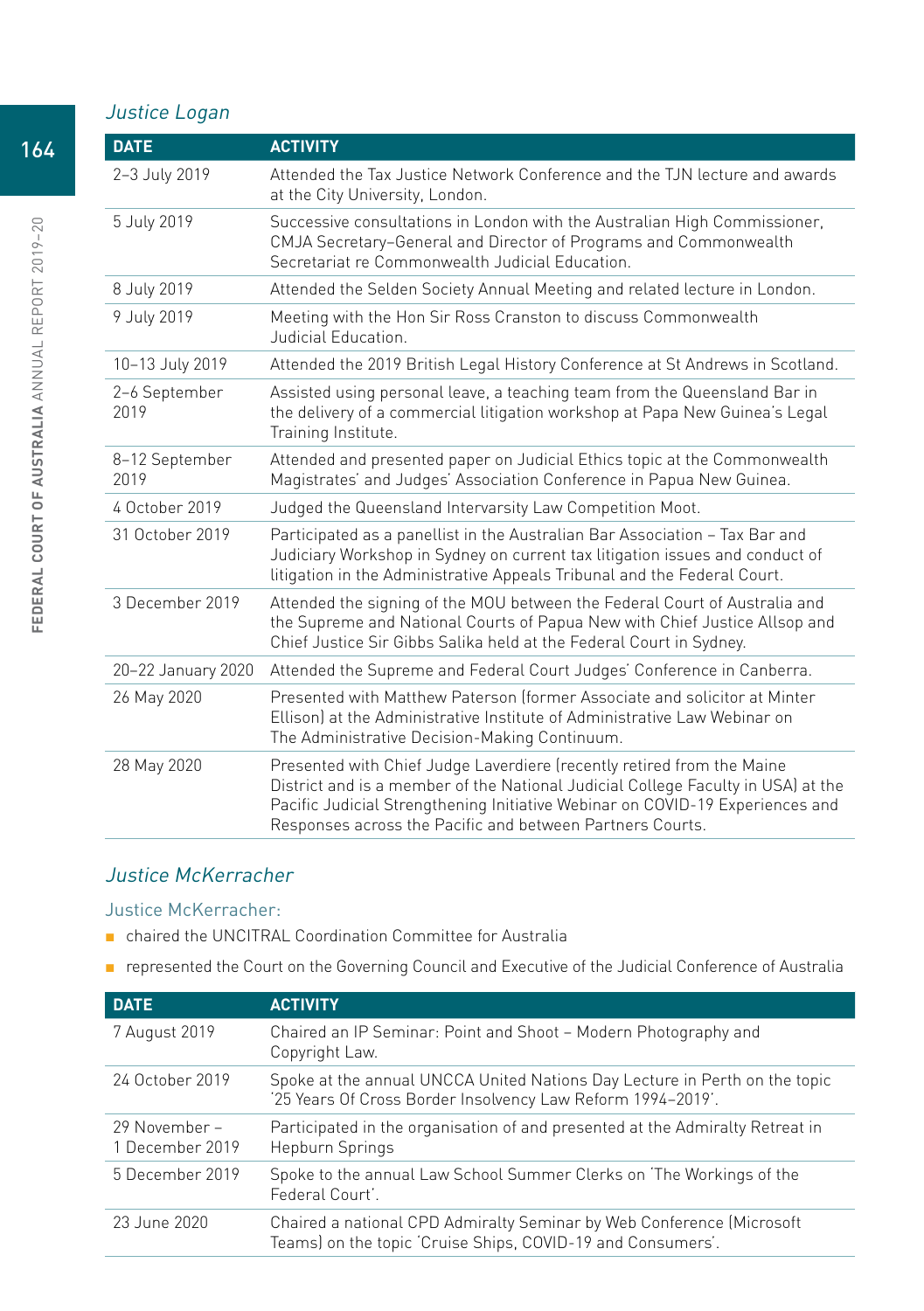## Justice Logan

| <b>DATE</b>            | <b>ACTIVITY</b>                                                                                                                                                                                                                                                                                          |
|------------------------|----------------------------------------------------------------------------------------------------------------------------------------------------------------------------------------------------------------------------------------------------------------------------------------------------------|
| 2-3 July 2019          | Attended the Tax Justice Network Conference and the TJN lecture and awards<br>at the City University, London.                                                                                                                                                                                            |
| 5 July 2019            | Successive consultations in London with the Australian High Commissioner,<br>CMJA Secretary-General and Director of Programs and Commonwealth<br>Secretariat re Commonwealth Judicial Education.                                                                                                         |
| 8 July 2019            | Attended the Selden Society Annual Meeting and related lecture in London.                                                                                                                                                                                                                                |
| 9 July 2019            | Meeting with the Hon Sir Ross Cranston to discuss Commonwealth<br>Judicial Education.                                                                                                                                                                                                                    |
| 10-13 July 2019        | Attended the 2019 British Legal History Conference at St Andrews in Scotland.                                                                                                                                                                                                                            |
| 2-6 September<br>2019  | Assisted using personal leave, a teaching team from the Queensland Bar in<br>the delivery of a commercial litigation workshop at Papa New Guinea's Legal<br>Training Institute.                                                                                                                          |
| 8-12 September<br>2019 | Attended and presented paper on Judicial Ethics topic at the Commonwealth<br>Magistrates' and Judges' Association Conference in Papua New Guinea.                                                                                                                                                        |
| 4 October 2019         | Judged the Queensland Intervarsity Law Competition Moot.                                                                                                                                                                                                                                                 |
| 31 October 2019        | Participated as a panellist in the Australian Bar Association - Tax Bar and<br>Judiciary Workshop in Sydney on current tax litigation issues and conduct of<br>litigation in the Administrative Appeals Tribunal and the Federal Court.                                                                  |
| 3 December 2019        | Attended the signing of the MOU between the Federal Court of Australia and<br>the Supreme and National Courts of Papua New with Chief Justice Allsop and<br>Chief Justice Sir Gibbs Salika held at the Federal Court in Sydney.                                                                          |
| 20-22 January 2020     | Attended the Supreme and Federal Court Judges' Conference in Canberra.                                                                                                                                                                                                                                   |
| 26 May 2020            | Presented with Matthew Paterson (former Associate and solicitor at Minter<br>Ellison) at the Administrative Institute of Administrative Law Webinar on<br>The Administrative Decision-Making Continuum.                                                                                                  |
| 28 May 2020            | Presented with Chief Judge Laverdiere (recently retired from the Maine<br>District and is a member of the National Judicial College Faculty in USA) at the<br>Pacific Judicial Strengthening Initiative Webinar on COVID-19 Experiences and<br>Responses across the Pacific and between Partners Courts. |

## Justice McKerracher

#### Justice McKerracher:

- chaired the UNCITRAL Coordination Committee for Australia
- represented the Court on the Governing Council and Executive of the Judicial Conference of Australia

| <b>DATE</b>                      | <b>ACTIVITY</b>                                                                                                                           |
|----------------------------------|-------------------------------------------------------------------------------------------------------------------------------------------|
| 7 August 2019                    | Chaired an IP Seminar: Point and Shoot - Modern Photography and<br>Copyright Law.                                                         |
| 24 October 2019                  | Spoke at the annual UNCCA United Nations Day Lecture in Perth on the topic<br>'25 Years Of Cross Border Insolvency Law Reform 1994-2019'. |
| 29 November –<br>1 December 2019 | Participated in the organisation of and presented at the Admiralty Retreat in<br>Hepburn Springs                                          |
| 5 December 2019                  | Spoke to the annual Law School Summer Clerks on 'The Workings of the<br>Federal Court'.                                                   |
| 23 June 2020                     | Chaired a national CPD Admiralty Seminar by Web Conference (Microsoft<br>Teams) on the topic 'Cruise Ships, COVID-19 and Consumers'.      |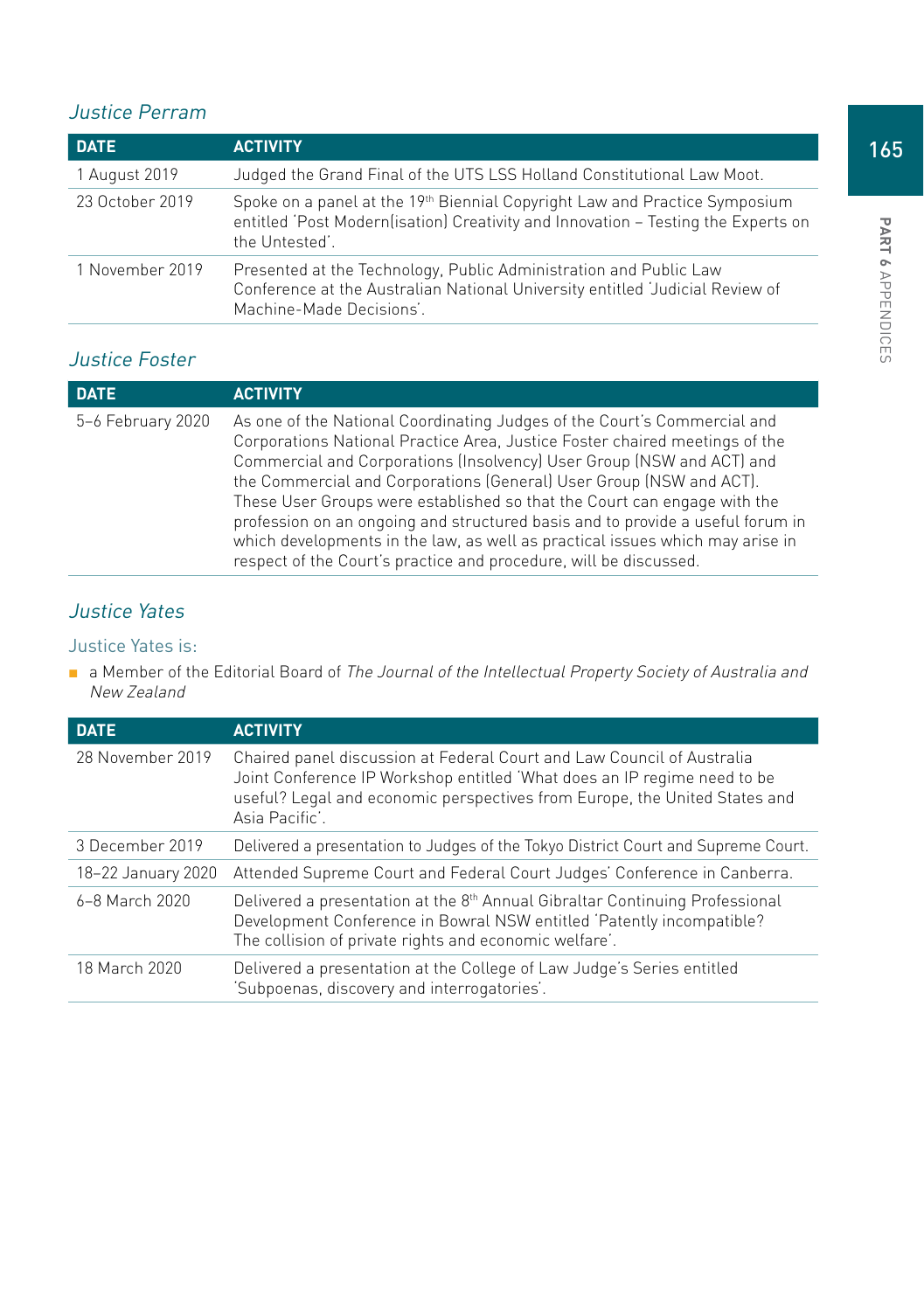## Justice Perram

| <b>DATE</b>     | <b>ACTIVITY</b>                                                                                                                                                                   |
|-----------------|-----------------------------------------------------------------------------------------------------------------------------------------------------------------------------------|
| 1 August 2019   | Judged the Grand Final of the UTS LSS Holland Constitutional Law Moot.                                                                                                            |
| 23 October 2019 | Spoke on a panel at the 19th Biennial Copyright Law and Practice Symposium<br>entitled 'Post Modern(isation) Creativity and Innovation - Testing the Experts on<br>the Untested'. |
| 1 November 2019 | Presented at the Technology, Public Administration and Public Law<br>Conference at the Australian National University entitled 'Judicial Review of<br>Machine-Made Decisions'.    |

# Justice Foster

| <b>DATE</b>       | <b>ACTIVITY</b>                                                                                                                                                                                                                                                                                                                                                                                                                                                                                                                                                                                                             |
|-------------------|-----------------------------------------------------------------------------------------------------------------------------------------------------------------------------------------------------------------------------------------------------------------------------------------------------------------------------------------------------------------------------------------------------------------------------------------------------------------------------------------------------------------------------------------------------------------------------------------------------------------------------|
| 5-6 February 2020 | As one of the National Coordinating Judges of the Court's Commercial and<br>Corporations National Practice Area, Justice Foster chaired meetings of the<br>Commercial and Corporations (Insolvency) User Group (NSW and ACT) and<br>the Commercial and Corporations (General) User Group (NSW and ACT).<br>These User Groups were established so that the Court can engage with the<br>profession on an ongoing and structured basis and to provide a useful forum in<br>which developments in the law, as well as practical issues which may arise in<br>respect of the Court's practice and procedure, will be discussed. |

# Justice Yates

#### Justice Yates is:

■ a Member of the Editorial Board of The Journal of the Intellectual Property Society of Australia and New Zealand

| <b>DATE</b>        | <b>ACTIVITY</b>                                                                                                                                                                                                                                    |
|--------------------|----------------------------------------------------------------------------------------------------------------------------------------------------------------------------------------------------------------------------------------------------|
| 28 November 2019   | Chaired panel discussion at Federal Court and Law Council of Australia<br>Joint Conference IP Workshop entitled 'What does an IP regime need to be<br>useful? Legal and economic perspectives from Europe, the United States and<br>Asia Pacific'. |
| 3 December 2019    | Delivered a presentation to Judges of the Tokyo District Court and Supreme Court.                                                                                                                                                                  |
| 18-22 January 2020 | Attended Supreme Court and Federal Court Judges' Conference in Canberra.                                                                                                                                                                           |
| 6-8 March 2020     | Delivered a presentation at the 8 <sup>th</sup> Annual Gibraltar Continuing Professional<br>Development Conference in Bowral NSW entitled 'Patently incompatible?<br>The collision of private rights and economic welfare'.                        |
| 18 March 2020      | Delivered a presentation at the College of Law Judge's Series entitled<br>'Subpoenas, discovery and interrogatories'.                                                                                                                              |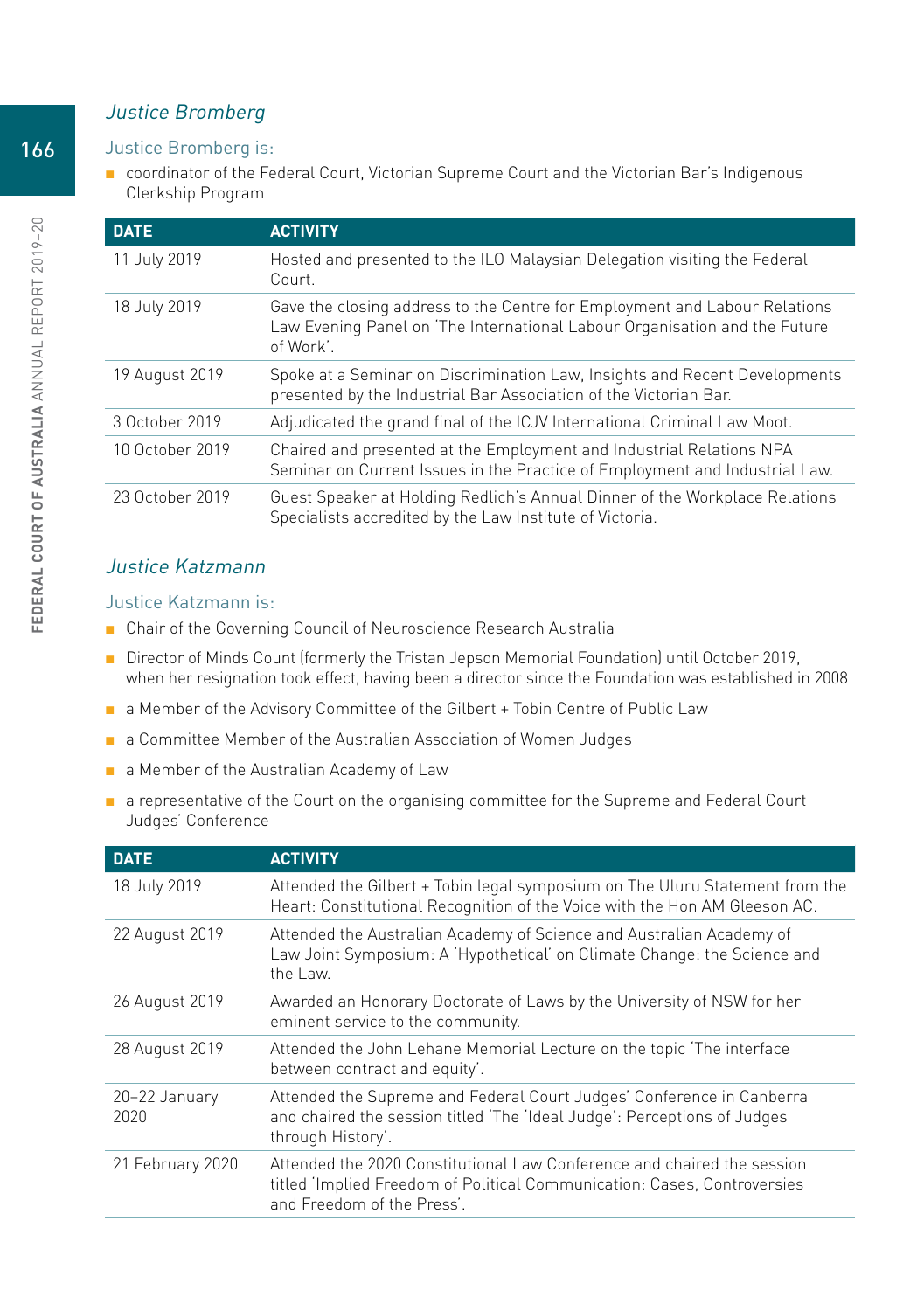#### Justice Bromberg

#### Justice Bromberg is:

■ coordinator of the Federal Court, Victorian Supreme Court and the Victorian Bar's Indigenous Clerkship Program

| <b>DATE</b>     | <b>ACTIVITY</b>                                                                                                                                                       |
|-----------------|-----------------------------------------------------------------------------------------------------------------------------------------------------------------------|
| 11 July 2019    | Hosted and presented to the ILO Malaysian Delegation visiting the Federal<br>Court.                                                                                   |
| 18 July 2019    | Gave the closing address to the Centre for Employment and Labour Relations<br>Law Evening Panel on 'The International Labour Organisation and the Future<br>of Work'. |
| 19 August 2019  | Spoke at a Seminar on Discrimination Law, Insights and Recent Developments<br>presented by the Industrial Bar Association of the Victorian Bar.                       |
| 3 October 2019  | Adjudicated the grand final of the ICJV International Criminal Law Moot.                                                                                              |
| 10 October 2019 | Chaired and presented at the Employment and Industrial Relations NPA<br>Seminar on Current Issues in the Practice of Employment and Industrial Law.                   |
| 23 October 2019 | Guest Speaker at Holding Redlich's Annual Dinner of the Workplace Relations<br>Specialists accredited by the Law Institute of Victoria.                               |

#### Justice Katzmann

#### Justice Katzmann is:

- Chair of the Governing Council of Neuroscience Research Australia
- Director of Minds Count (formerly the Tristan Jepson Memorial Foundation) until October 2019, when her resignation took effect, having been a director since the Foundation was established in 2008
- a Member of the Advisory Committee of the Gilbert + Tobin Centre of Public Law
- a Committee Member of the Australian Association of Women Judges
- a Member of the Australian Academy of Law
- a representative of the Court on the organising committee for the Supreme and Federal Court Judges' Conference

| <b>DATE</b>           | <b>ACTIVITY</b>                                                                                                                                                                   |
|-----------------------|-----------------------------------------------------------------------------------------------------------------------------------------------------------------------------------|
| 18 July 2019          | Attended the Gilbert + Tobin legal symposium on The Uluru Statement from the<br>Heart: Constitutional Recognition of the Voice with the Hon AM Gleeson AC.                        |
| 22 August 2019        | Attended the Australian Academy of Science and Australian Academy of<br>Law Joint Symposium: A 'Hypothetical' on Climate Change: the Science and<br>the Law.                      |
| 26 August 2019        | Awarded an Honorary Doctorate of Laws by the University of NSW for her<br>eminent service to the community.                                                                       |
| 28 August 2019        | Attended the John Lehane Memorial Lecture on the topic 'The interface<br>between contract and equity'.                                                                            |
| 20-22 January<br>2020 | Attended the Supreme and Federal Court Judges' Conference in Canberra<br>and chaired the session titled 'The 'Ideal Judge': Perceptions of Judges<br>through History'.            |
| 21 February 2020      | Attended the 2020 Constitutional Law Conference and chaired the session<br>titled 'Implied Freedom of Political Communication: Cases, Controversies<br>and Freedom of the Press'. |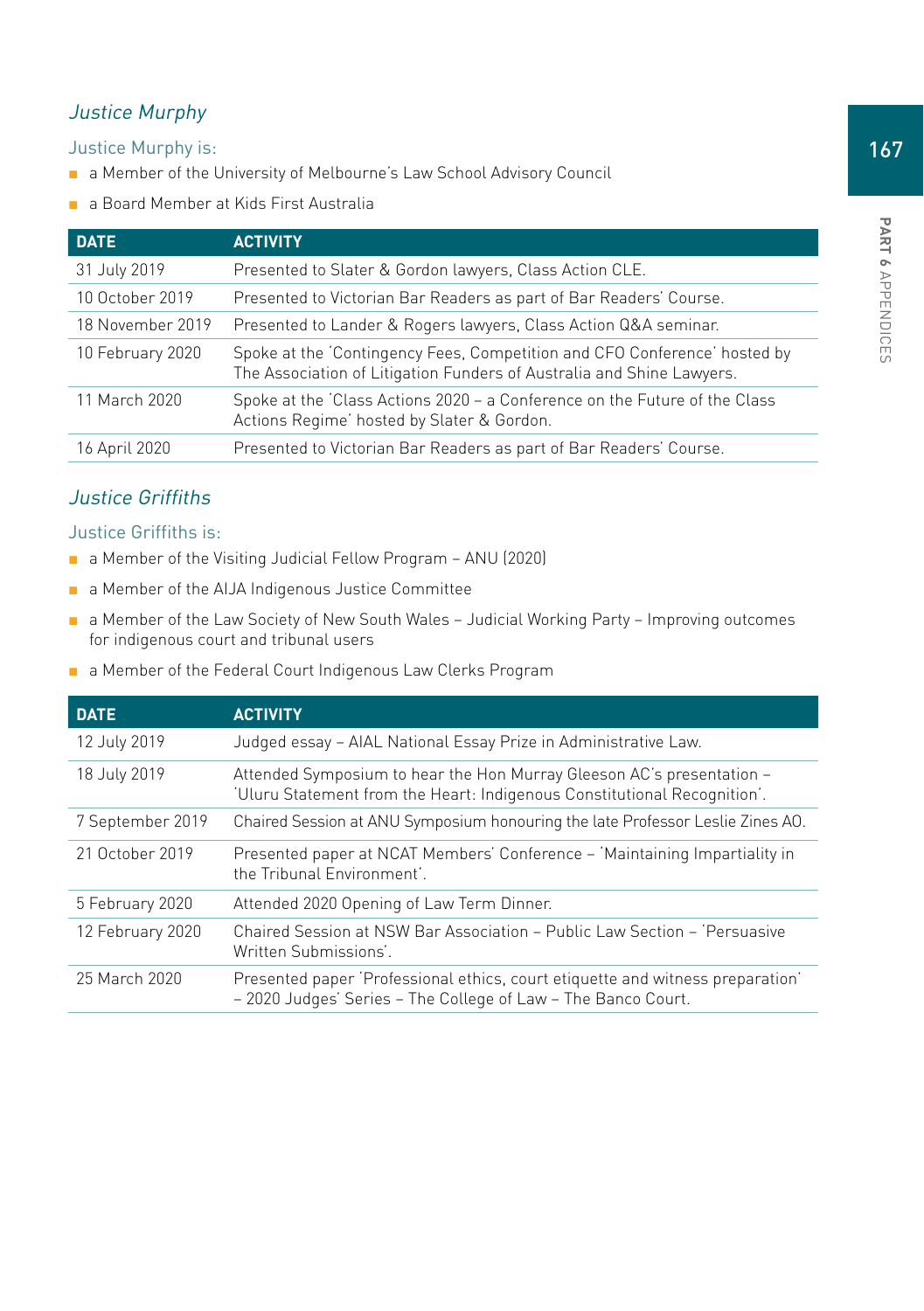## Justice Murphy

Justice Murphy is:

- a Member of the University of Melbourne's Law School Advisory Council
- a Board Member at Kids First Australia

| <b>DATE</b>      | <b>ACTIVITY</b>                                                                                                                                    |
|------------------|----------------------------------------------------------------------------------------------------------------------------------------------------|
| 31 July 2019     | Presented to Slater & Gordon lawyers, Class Action CLE.                                                                                            |
| 10 October 2019  | Presented to Victorian Bar Readers as part of Bar Readers' Course.                                                                                 |
| 18 November 2019 | Presented to Lander & Rogers lawyers, Class Action Q&A seminar.                                                                                    |
| 10 February 2020 | Spoke at the 'Contingency Fees, Competition and CFO Conference' hosted by<br>The Association of Litigation Funders of Australia and Shine Lawyers. |
| 11 March 2020    | Spoke at the 'Class Actions 2020 - a Conference on the Future of the Class<br>Actions Regime' hosted by Slater & Gordon.                           |
| 16 April 2020    | Presented to Victorian Bar Readers as part of Bar Readers' Course.                                                                                 |

## Justice Griffiths

#### Justice Griffiths is:

- a Member of the Visiting Judicial Fellow Program ANU (2020)
- a Member of the AIJA Indigenous Justice Committee
- a Member of the Law Society of New South Wales Judicial Working Party Improving outcomes for indigenous court and tribunal users
- a Member of the Federal Court Indigenous Law Clerks Program

| <b>DATE</b>      | <b>ACTIVITY</b>                                                                                                                                   |
|------------------|---------------------------------------------------------------------------------------------------------------------------------------------------|
| 12 July 2019     | Judged essay - AIAL National Essay Prize in Administrative Law.                                                                                   |
| 18 July 2019     | Attended Symposium to hear the Hon Murray Gleeson AC's presentation -<br>'Uluru Statement from the Heart: Indigenous Constitutional Recognition'. |
| 7 September 2019 | Chaired Session at ANU Symposium honouring the late Professor Leslie Zines AO.                                                                    |
| 21 October 2019  | Presented paper at NCAT Members' Conference - 'Maintaining Impartiality in<br>the Tribunal Environment'                                           |
| 5 February 2020  | Attended 2020 Opening of Law Term Dinner.                                                                                                         |
| 12 February 2020 | Chaired Session at NSW Bar Association - Public Law Section - 'Persuasive<br>Written Submissions'.                                                |
| 25 March 2020    | Presented paper 'Professional ethics, court etiquette and witness preparation'<br>- 2020 Judges' Series - The College of Law - The Banco Court.   |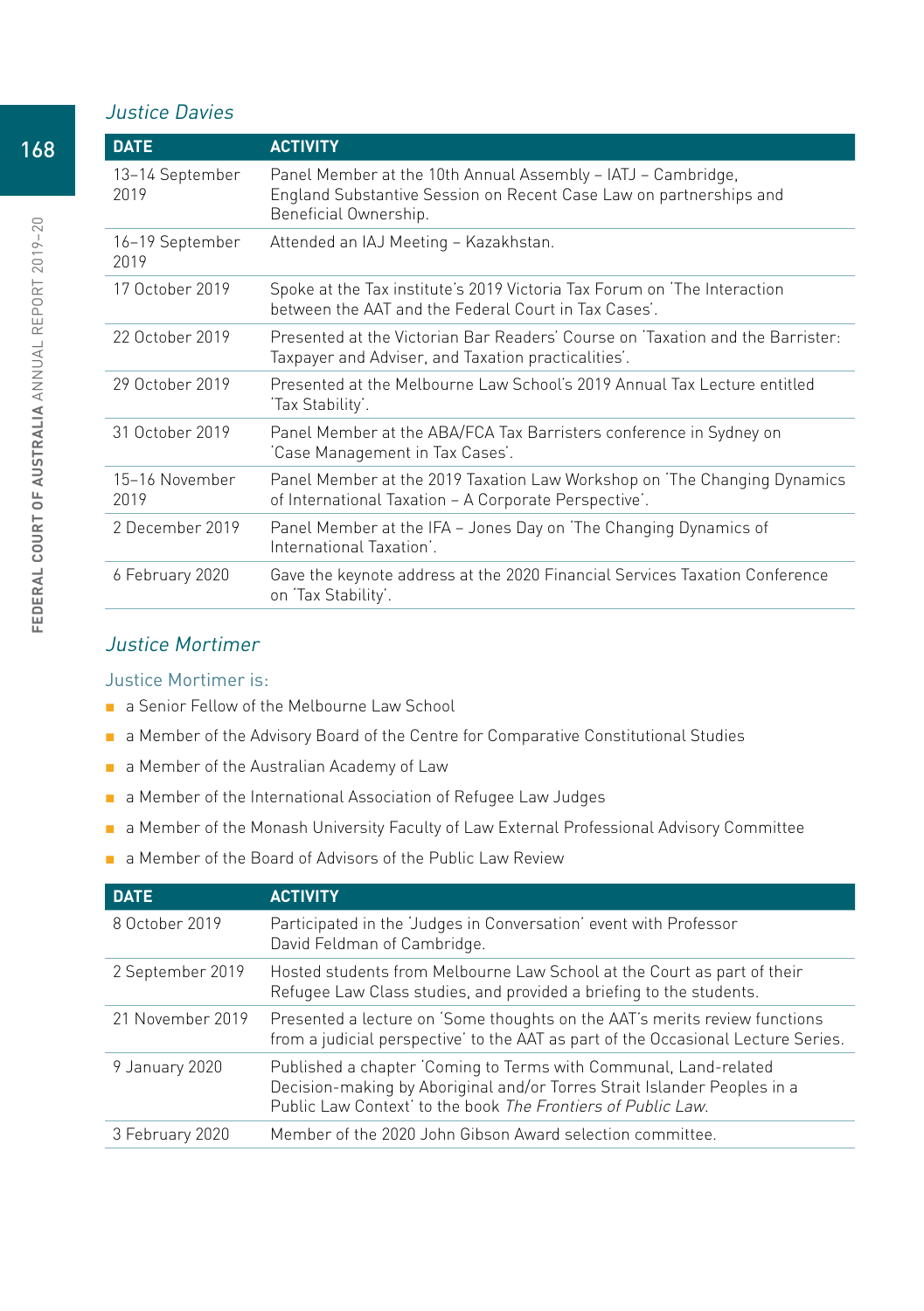#### Justice Davies

| <b>DATE</b>             | <b>ACTIVITY</b>                                                                                                                                             |
|-------------------------|-------------------------------------------------------------------------------------------------------------------------------------------------------------|
| 13–14 September<br>2019 | Panel Member at the 10th Annual Assembly - IATJ - Cambridge,<br>England Substantive Session on Recent Case Law on partnerships and<br>Beneficial Ownership. |
| 16-19 September<br>2019 | Attended an IAJ Meeting – Kazakhstan.                                                                                                                       |
| 17 October 2019         | Spoke at the Tax institute's 2019 Victoria Tax Forum on 'The Interaction<br>between the AAT and the Federal Court in Tax Cases'.                            |
| 22 October 2019         | Presented at the Victorian Bar Readers' Course on 'Taxation and the Barrister:<br>Taxpayer and Adviser, and Taxation practicalities'.                       |
| 29 October 2019         | Presented at the Melbourne Law School's 2019 Annual Tax Lecture entitled<br>'Tax Stability'.                                                                |
| 31 October 2019         | Panel Member at the ABA/FCA Tax Barristers conference in Sydney on<br>'Case Management in Tax Cases'.                                                       |
| 15-16 November<br>2019  | Panel Member at the 2019 Taxation Law Workshop on 'The Changing Dynamics<br>of International Taxation - A Corporate Perspective'.                           |
| 2 December 2019         | Panel Member at the IFA – Jones Day on 'The Changing Dynamics of<br>International Taxation'.                                                                |
| 6 February 2020         | Gave the keynote address at the 2020 Financial Services Taxation Conference<br>on 'Tax Stability'.                                                          |

#### Justice Mortimer

#### Justice Mortimer is:

- a Senior Fellow of the Melbourne Law School
- a Member of the Advisory Board of the Centre for Comparative Constitutional Studies
- a Member of the Australian Academy of Law
- a Member of the International Association of Refugee Law Judges
- a Member of the Monash University Faculty of Law External Professional Advisory Committee
- a Member of the Board of Advisors of the Public Law Review

| <b>DATE</b>      | <b>ACTIVITY</b>                                                                                                                                                                                              |
|------------------|--------------------------------------------------------------------------------------------------------------------------------------------------------------------------------------------------------------|
| 8 October 2019   | Participated in the 'Judges in Conversation' event with Professor<br>David Feldman of Cambridge.                                                                                                             |
| 2 September 2019 | Hosted students from Melbourne Law School at the Court as part of their<br>Refugee Law Class studies, and provided a briefing to the students.                                                               |
| 21 November 2019 | Presented a lecture on 'Some thoughts on the AAT's merits review functions<br>from a judicial perspective' to the AAT as part of the Occasional Lecture Series.                                              |
| 9 January 2020   | Published a chapter 'Coming to Terms with Communal, Land-related<br>Decision-making by Aboriginal and/or Torres Strait Islander Peoples in a<br>Public Law Context' to the book The Frontiers of Public Law. |
| 3 February 2020  | Member of the 2020 John Gibson Award selection committee.                                                                                                                                                    |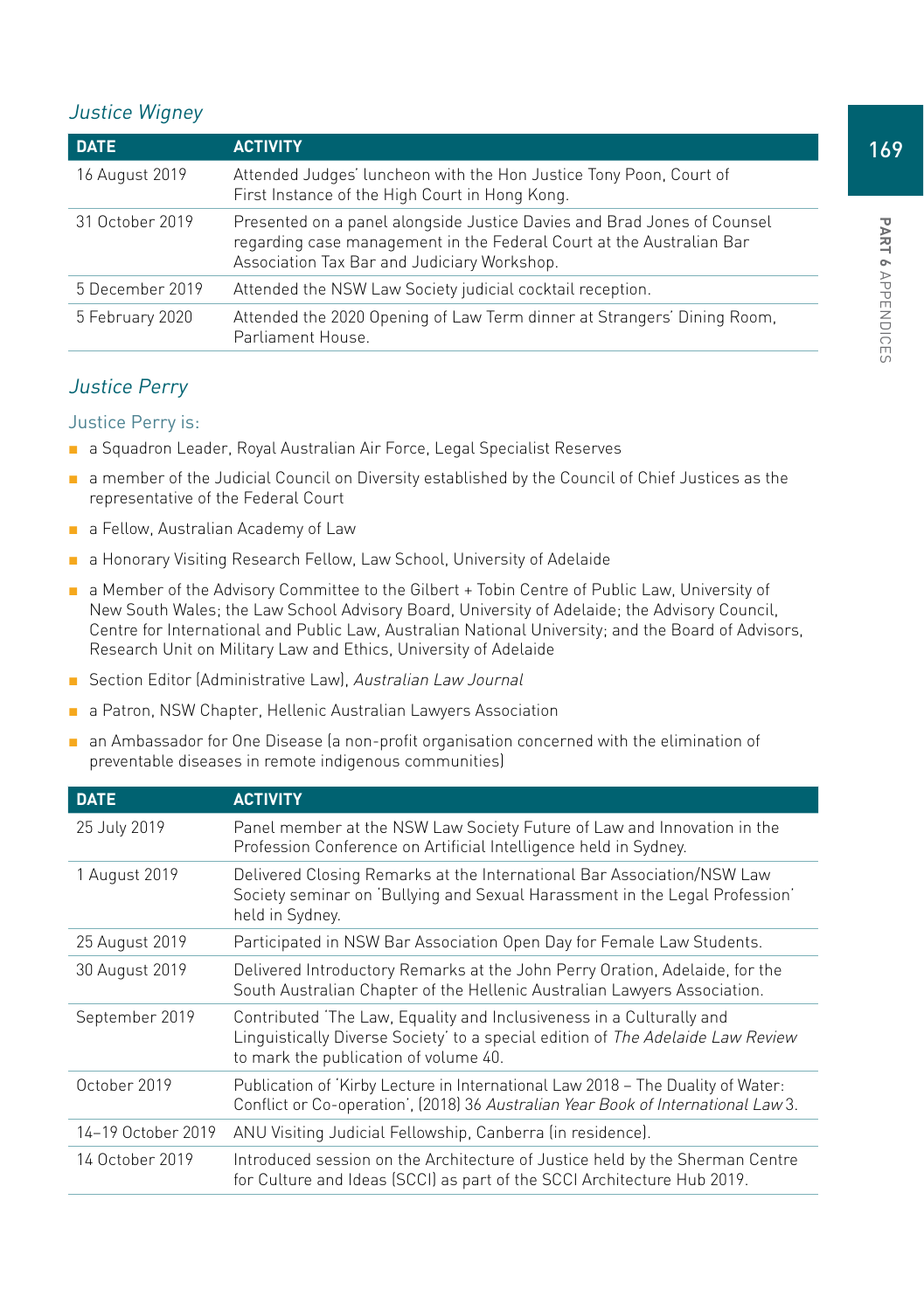## Justice Wigney

| <b>DATE</b>     | <b>ACTIVITY</b>                                                                                                                                                                                |
|-----------------|------------------------------------------------------------------------------------------------------------------------------------------------------------------------------------------------|
| 16 August 2019  | Attended Judges' luncheon with the Hon Justice Tony Poon, Court of<br>First Instance of the High Court in Hong Kong.                                                                           |
| 31 October 2019 | Presented on a panel alongside Justice Davies and Brad Jones of Counsel<br>regarding case management in the Federal Court at the Australian Bar<br>Association Tax Bar and Judiciary Workshop. |
| 5 December 2019 | Attended the NSW Law Society judicial cocktail reception.                                                                                                                                      |
| 5 February 2020 | Attended the 2020 Opening of Law Term dinner at Strangers' Dining Room,<br>Parliament House.                                                                                                   |

## Justice Perry

#### Justice Perry is:

- a Squadron Leader, Royal Australian Air Force, Legal Specialist Reserves
- a member of the Judicial Council on Diversity established by the Council of Chief Justices as the representative of the Federal Court
- a Fellow, Australian Academy of Law
- a Honorary Visiting Research Fellow, Law School, University of Adelaide
- a Member of the Advisory Committee to the Gilbert + Tobin Centre of Public Law, University of New South Wales; the Law School Advisory Board, University of Adelaide; the Advisory Council, Centre for International and Public Law, Australian National University; and the Board of Advisors, Research Unit on Military Law and Ethics, University of Adelaide
- Section Editor (Administrative Law), Australian Law Journal
- a Patron, NSW Chapter, Hellenic Australian Lawyers Association
- an Ambassador for One Disease (a non-profit organisation concerned with the elimination of preventable diseases in remote indigenous communities)

| <b>DATE</b>        | <b>ACTIVITY</b>                                                                                                                                                                                  |
|--------------------|--------------------------------------------------------------------------------------------------------------------------------------------------------------------------------------------------|
| 25 July 2019       | Panel member at the NSW Law Society Future of Law and Innovation in the<br>Profession Conference on Artificial Intelligence held in Sydney.                                                      |
| 1 August 2019      | Delivered Closing Remarks at the International Bar Association/NSW Law<br>Society seminar on 'Bullying and Sexual Harassment in the Legal Profession'<br>held in Sydney.                         |
| 25 August 2019     | Participated in NSW Bar Association Open Day for Female Law Students.                                                                                                                            |
| 30 August 2019     | Delivered Introductory Remarks at the John Perry Oration, Adelaide, for the<br>South Australian Chapter of the Hellenic Australian Lawyers Association.                                          |
| September 2019     | Contributed 'The Law, Equality and Inclusiveness in a Culturally and<br>Linguistically Diverse Society' to a special edition of The Adelaide Law Review<br>to mark the publication of volume 40. |
| October 2019       | Publication of 'Kirby Lecture in International Law 2018 - The Duality of Water:<br>Conflict or Co-operation', (2018) 36 Australian Year Book of International Law 3.                             |
| 14-19 October 2019 | ANU Visiting Judicial Fellowship, Canberra (in residence).                                                                                                                                       |
| 14 October 2019    | Introduced session on the Architecture of Justice held by the Sherman Centre<br>for Culture and Ideas (SCCI) as part of the SCCI Architecture Hub 2019.                                          |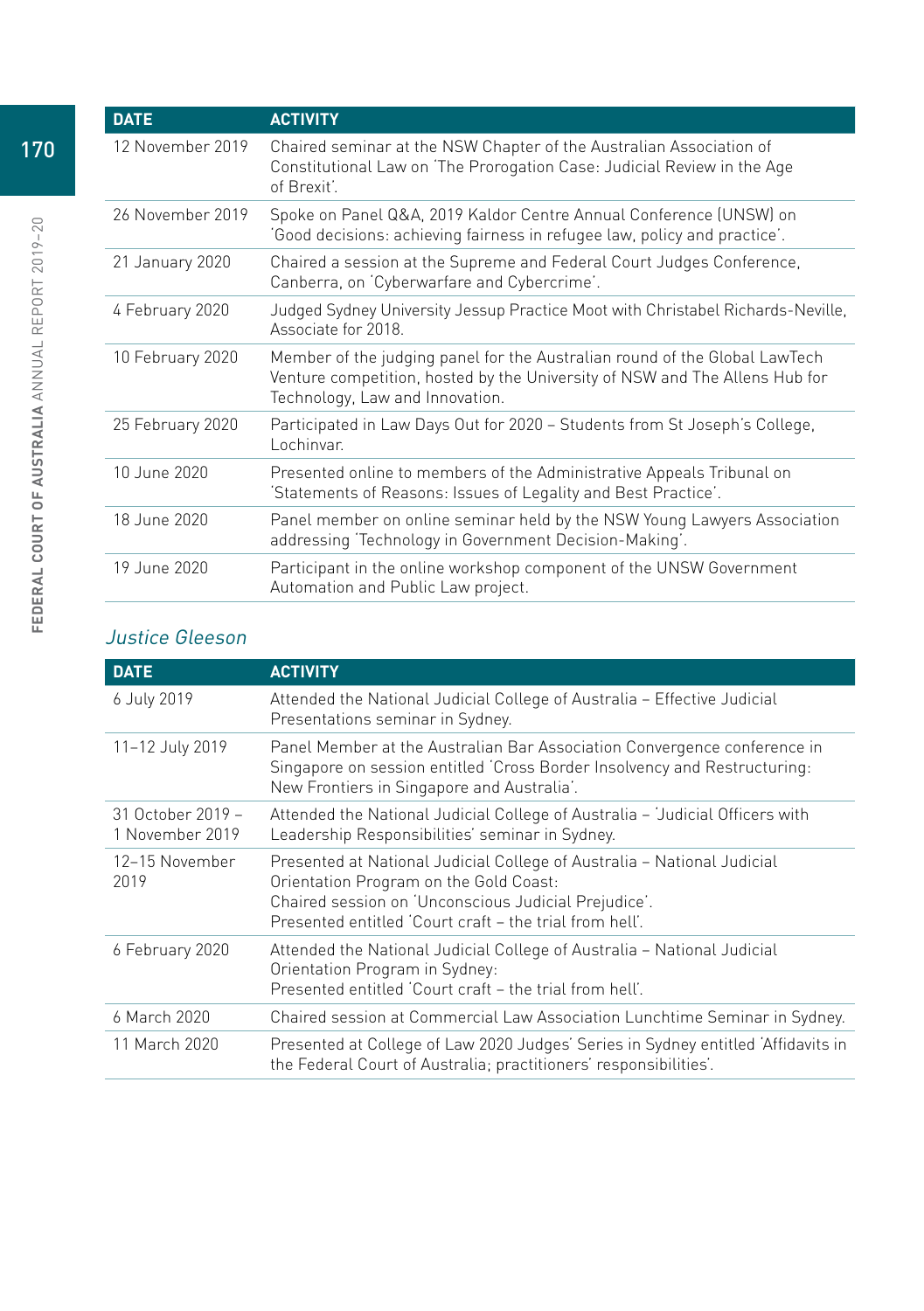| <b>DATE</b>      | <b>ACTIVITY</b>                                                                                                                                                                              |
|------------------|----------------------------------------------------------------------------------------------------------------------------------------------------------------------------------------------|
| 12 November 2019 | Chaired seminar at the NSW Chapter of the Australian Association of<br>Constitutional Law on 'The Prorogation Case: Judicial Review in the Age<br>of Brexit'.                                |
| 26 November 2019 | Spoke on Panel Q&A, 2019 Kaldor Centre Annual Conference (UNSW) on<br>'Good decisions: achieving fairness in refugee law, policy and practice'.                                              |
| 21 January 2020  | Chaired a session at the Supreme and Federal Court Judges Conference,<br>Canberra, on 'Cyberwarfare and Cybercrime'.                                                                         |
| 4 February 2020  | Judged Sydney University Jessup Practice Moot with Christabel Richards-Neville,<br>Associate for 2018.                                                                                       |
| 10 February 2020 | Member of the judging panel for the Australian round of the Global LawTech<br>Venture competition, hosted by the University of NSW and The Allens Hub for<br>Technology, Law and Innovation. |
| 25 February 2020 | Participated in Law Days Out for 2020 – Students from St Joseph's College,<br>Lochinvar.                                                                                                     |
| 10 June 2020     | Presented online to members of the Administrative Appeals Tribunal on<br>'Statements of Reasons: Issues of Legality and Best Practice'.                                                      |
| 18 June 2020     | Panel member on online seminar held by the NSW Young Lawyers Association<br>addressing 'Technology in Government Decision-Making'.                                                           |
| 19 June 2020     | Participant in the online workshop component of the UNSW Government<br>Automation and Public Law project.                                                                                    |

## Justice Gleeson

| <b>DATE</b>                          | <b>ACTIVITY</b>                                                                                                                                                                                                                      |
|--------------------------------------|--------------------------------------------------------------------------------------------------------------------------------------------------------------------------------------------------------------------------------------|
| 6 July 2019                          | Attended the National Judicial College of Australia - Effective Judicial<br>Presentations seminar in Sydney.                                                                                                                         |
| 11-12 July 2019                      | Panel Member at the Australian Bar Association Convergence conference in<br>Singapore on session entitled 'Cross Border Insolvency and Restructuring:<br>New Frontiers in Singapore and Australia'.                                  |
| 31 October 2019 -<br>1 November 2019 | Attended the National Judicial College of Australia - 'Judicial Officers with<br>Leadership Responsibilities' seminar in Sydney.                                                                                                     |
| 12–15 November<br>2019               | Presented at National Judicial College of Australia – National Judicial<br>Orientation Program on the Gold Coast:<br>Chaired session on 'Unconscious Judicial Prejudice'.<br>Presented entitled 'Court craft - the trial from hell'. |
| 6 February 2020                      | Attended the National Judicial College of Australia – National Judicial<br>Orientation Program in Sydney:<br>Presented entitled 'Court craft - the trial from hell'.                                                                 |
| 6 March 2020                         | Chaired session at Commercial Law Association Lunchtime Seminar in Sydney.                                                                                                                                                           |
| 11 March 2020                        | Presented at College of Law 2020 Judges' Series in Sydney entitled 'Affidavits in<br>the Federal Court of Australia; practitioners' responsibilities'.                                                                               |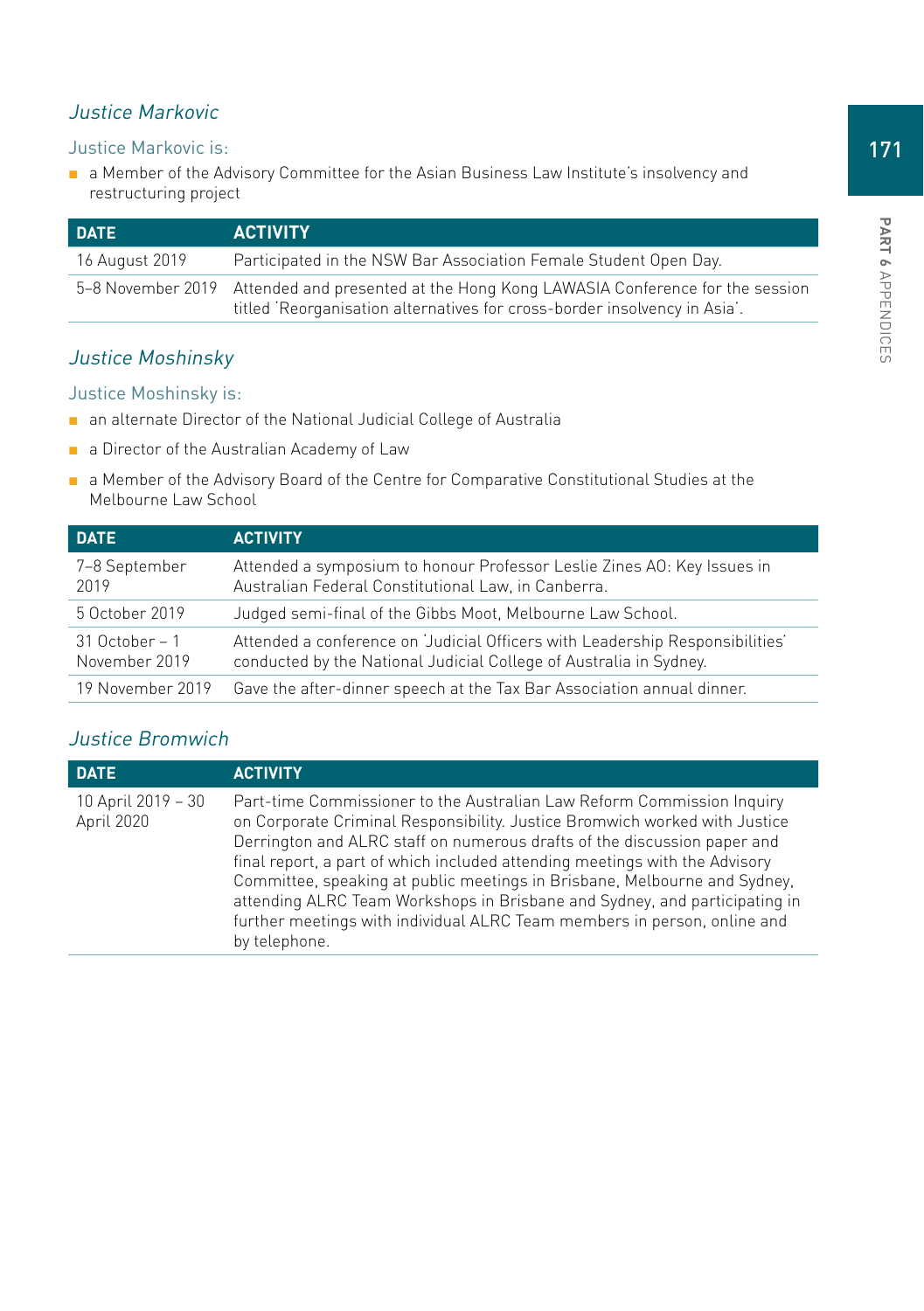## Justice Markovic

#### Justice Markovic is:

■ a Member of the Advisory Committee for the Asian Business Law Institute's insolvency and restructuring project

| <b>DATE</b>    | <b>ACTIVITY</b>                                                                                                                                                           |
|----------------|---------------------------------------------------------------------------------------------------------------------------------------------------------------------------|
| 16 August 2019 | Participated in the NSW Bar Association Female Student Open Day.                                                                                                          |
|                | 5-8 November 2019 Attended and presented at the Hong Kong LAWASIA Conference for the session<br>titled 'Reorganisation alternatives for cross-border insolvency in Asia'. |

## Justice Moshinsky

#### Justice Moshinsky is:

- an alternate Director of the National Judicial College of Australia
- a Director of the Australian Academy of Law
- a Member of the Advisory Board of the Centre for Comparative Constitutional Studies at the Melbourne Law School

| <b>DATE</b>                       | <b>ACTIVITY</b>                                                                                                                                     |
|-----------------------------------|-----------------------------------------------------------------------------------------------------------------------------------------------------|
| 7–8 September<br>2019             | Attended a symposium to honour Professor Leslie Zines AO: Key Issues in<br>Australian Federal Constitutional Law, in Canberra.                      |
| 5 October 2019                    | Judged semi-final of the Gibbs Moot, Melbourne Law School.                                                                                          |
| $31$ October – 1<br>November 2019 | Attended a conference on 'Judicial Officers with Leadership Responsibilities'<br>conducted by the National Judicial College of Australia in Sydney. |
| 19 November 2019                  | Gave the after-dinner speech at the Tax Bar Association annual dinner.                                                                              |

## Justice Bromwich

| <b>DATE</b>                      | <b>ACTIVITY</b>                                                                                                                                                                                                                                                                                                                                                                                                                                                                                                                                                         |
|----------------------------------|-------------------------------------------------------------------------------------------------------------------------------------------------------------------------------------------------------------------------------------------------------------------------------------------------------------------------------------------------------------------------------------------------------------------------------------------------------------------------------------------------------------------------------------------------------------------------|
| 10 April 2019 - 30<br>April 2020 | Part-time Commissioner to the Australian Law Reform Commission Inquiry<br>on Corporate Criminal Responsibility. Justice Bromwich worked with Justice<br>Derrington and ALRC staff on numerous drafts of the discussion paper and<br>final report, a part of which included attending meetings with the Advisory<br>Committee, speaking at public meetings in Brisbane, Melbourne and Sydney,<br>attending ALRC Team Workshops in Brisbane and Sydney, and participating in<br>further meetings with individual ALRC Team members in person, online and<br>by telephone. |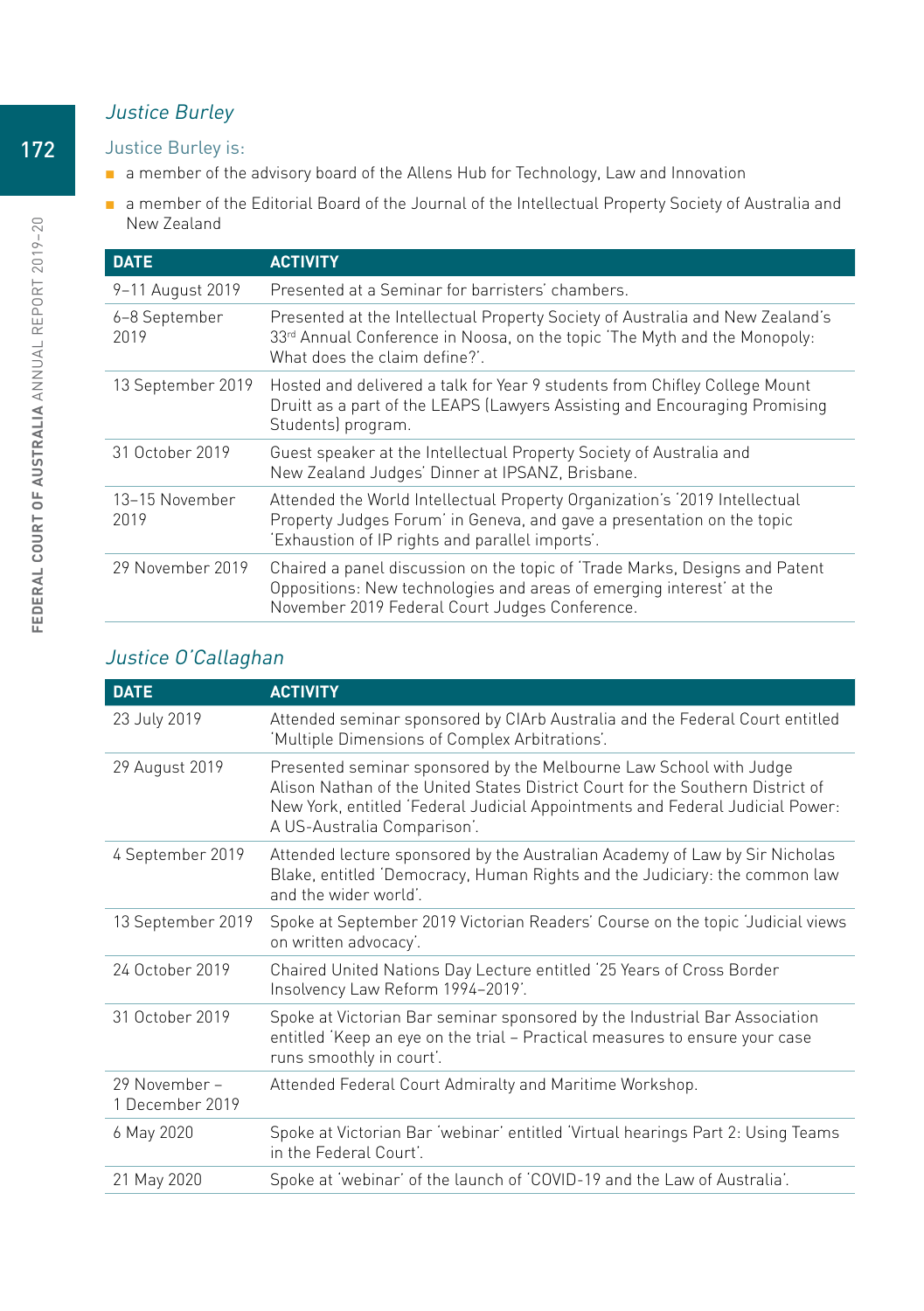## Justice Burley

#### Justice Burley is:

- a member of the advisory board of the Allens Hub for Technology, Law and Innovation
- a member of the Editorial Board of the Journal of the Intellectual Property Society of Australia and New Zealand

| <b>DATE</b>            | <b>ACTIVITY</b>                                                                                                                                                                                         |
|------------------------|---------------------------------------------------------------------------------------------------------------------------------------------------------------------------------------------------------|
| 9-11 August 2019       | Presented at a Seminar for barristers' chambers.                                                                                                                                                        |
| 6-8 September<br>2019  | Presented at the Intellectual Property Society of Australia and New Zealand's<br>33rd Annual Conference in Noosa, on the topic 'The Myth and the Monopoly:<br>What does the claim define?'              |
| 13 September 2019      | Hosted and delivered a talk for Year 9 students from Chifley College Mount<br>Druitt as a part of the LEAPS (Lawyers Assisting and Encouraging Promising<br>Students) program.                          |
| 31 October 2019        | Guest speaker at the Intellectual Property Society of Australia and<br>New Zealand Judges' Dinner at IPSANZ, Brisbane.                                                                                  |
| 13-15 November<br>2019 | Attended the World Intellectual Property Organization's '2019 Intellectual<br>Property Judges Forum' in Geneva, and gave a presentation on the topic<br>'Exhaustion of IP rights and parallel imports'. |
| 29 November 2019       | Chaired a panel discussion on the topic of 'Trade Marks, Designs and Patent<br>Oppositions: New technologies and areas of emerging interest' at the<br>November 2019 Federal Court Judges Conference.   |

## Justice O'Callaghan

| <b>DATE</b>                      | <b>ACTIVITY</b>                                                                                                                                                                                                                                                      |
|----------------------------------|----------------------------------------------------------------------------------------------------------------------------------------------------------------------------------------------------------------------------------------------------------------------|
| 23 July 2019                     | Attended seminar sponsored by CIArb Australia and the Federal Court entitled<br>'Multiple Dimensions of Complex Arbitrations'.                                                                                                                                       |
| 29 August 2019                   | Presented seminar sponsored by the Melbourne Law School with Judge<br>Alison Nathan of the United States District Court for the Southern District of<br>New York, entitled 'Federal Judicial Appointments and Federal Judicial Power:<br>A US-Australia Comparison'. |
| 4 September 2019                 | Attended lecture sponsored by the Australian Academy of Law by Sir Nicholas<br>Blake, entitled 'Democracy, Human Rights and the Judiciary: the common law<br>and the wider world'.                                                                                   |
| 13 September 2019                | Spoke at September 2019 Victorian Readers' Course on the topic 'Judicial views<br>on written advocacy'.                                                                                                                                                              |
| 24 October 2019                  | Chaired United Nations Day Lecture entitled '25 Years of Cross Border<br>Insolvency Law Reform 1994-2019'.                                                                                                                                                           |
| 31 October 2019                  | Spoke at Victorian Bar seminar sponsored by the Industrial Bar Association<br>entitled 'Keep an eye on the trial - Practical measures to ensure your case<br>runs smoothly in court'.                                                                                |
| 29 November –<br>1 December 2019 | Attended Federal Court Admiralty and Maritime Workshop.                                                                                                                                                                                                              |
| 6 May 2020                       | Spoke at Victorian Bar 'webinar' entitled 'Virtual hearings Part 2: Using Teams<br>in the Federal Court'.                                                                                                                                                            |
| 21 May 2020                      | Spoke at 'webinar' of the launch of 'COVID-19 and the Law of Australia'.                                                                                                                                                                                             |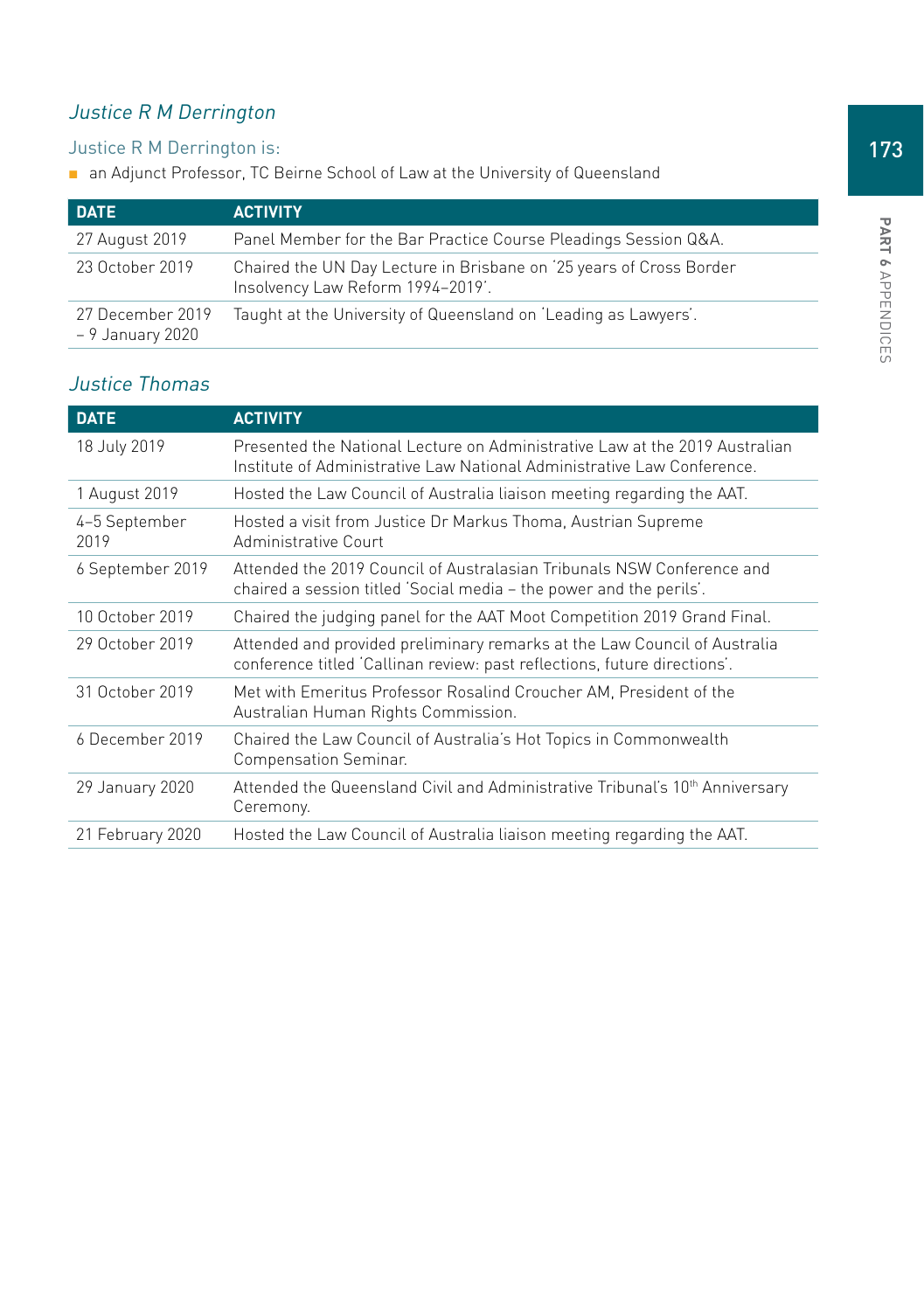# Justice R M Derrington

## Justice R M Derrington is:

■ an Adjunct Professor, TC Beirne School of Law at the University of Queensland

| <b>DATE</b>                          | <b>ACTIVITY</b>                                                                                          |
|--------------------------------------|----------------------------------------------------------------------------------------------------------|
| 27 August 2019                       | Panel Member for the Bar Practice Course Pleadings Session Q&A.                                          |
| 23 October 2019                      | Chaired the UN Day Lecture in Brisbane on '25 years of Cross Border<br>Insolvency Law Reform 1994-2019'. |
| 27 December 2019<br>– 9 January 2020 | Taught at the University of Queensland on 'Leading as Lawyers'.                                          |

## Justice Thomas

| <b>DATE</b>           | <b>ACTIVITY</b>                                                                                                                                        |
|-----------------------|--------------------------------------------------------------------------------------------------------------------------------------------------------|
| 18 July 2019          | Presented the National Lecture on Administrative Law at the 2019 Australian<br>Institute of Administrative Law National Administrative Law Conference. |
| 1 August 2019         | Hosted the Law Council of Australia liaison meeting regarding the AAT.                                                                                 |
| 4-5 September<br>2019 | Hosted a visit from Justice Dr Markus Thoma, Austrian Supreme<br>Administrative Court                                                                  |
| 6 September 2019      | Attended the 2019 Council of Australasian Tribunals NSW Conference and<br>chaired a session titled 'Social media – the power and the perils'.          |
| 10 October 2019       | Chaired the judging panel for the AAT Moot Competition 2019 Grand Final.                                                                               |
| 29 October 2019       | Attended and provided preliminary remarks at the Law Council of Australia<br>conference titled 'Callinan review: past reflections, future directions'. |
| 31 October 2019       | Met with Emeritus Professor Rosalind Croucher AM, President of the<br>Australian Human Rights Commission.                                              |
| 6 December 2019       | Chaired the Law Council of Australia's Hot Topics in Commonwealth<br>Compensation Seminar.                                                             |
| 29 January 2020       | Attended the Queensland Civil and Administrative Tribunal's 10 <sup>th</sup> Anniversary<br>Ceremony.                                                  |
| 21 February 2020      | Hosted the Law Council of Australia liaison meeting regarding the AAT.                                                                                 |

173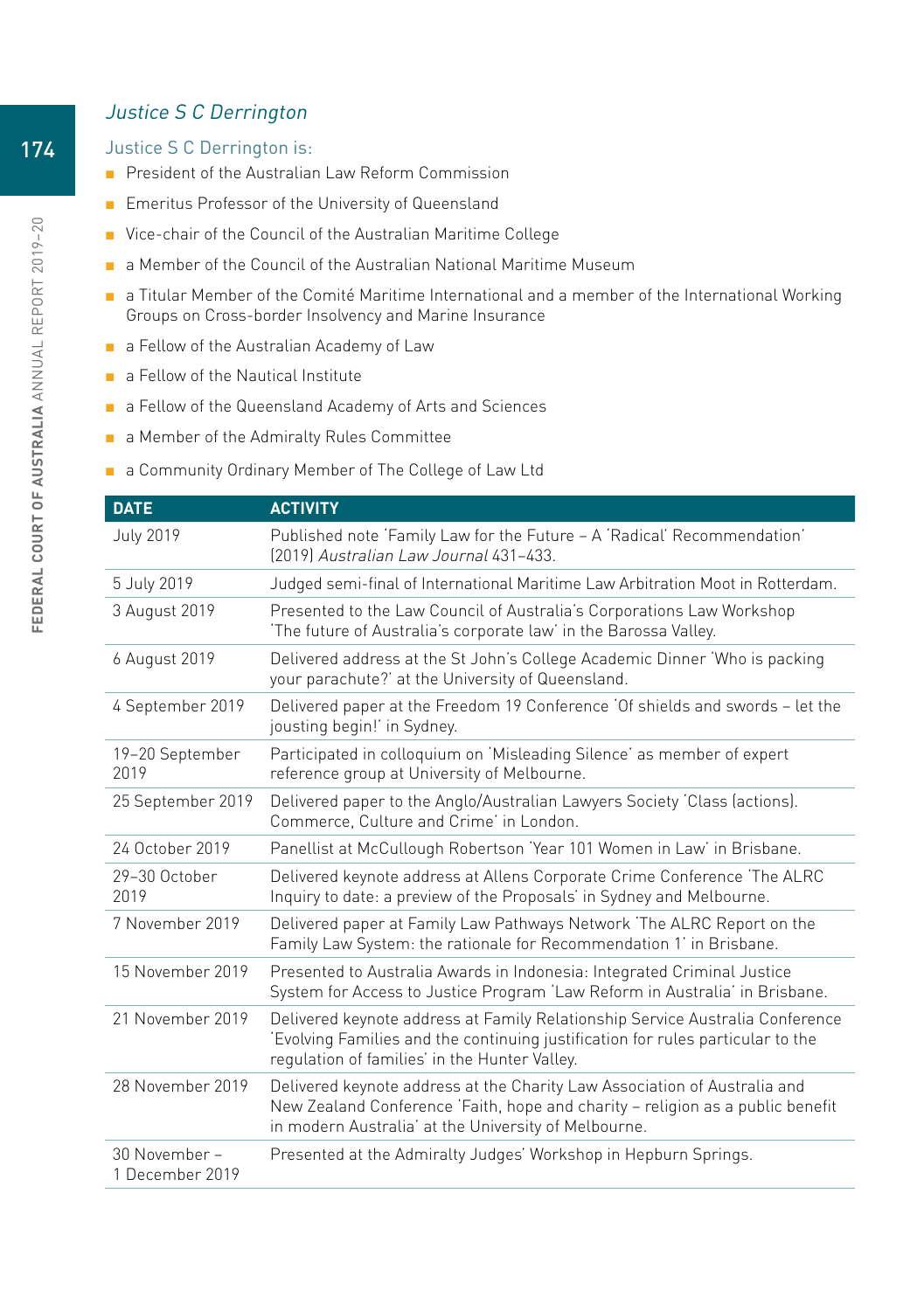#### Justice S C Derrington

#### Justice S C Derrington is:

- President of the Australian Law Reform Commission
- Emeritus Professor of the University of Queensland
- Vice-chair of the Council of the Australian Maritime College
- a Member of the Council of the Australian National Maritime Museum
- a Titular Member of the Comité Maritime International and a member of the International Working Groups on Cross-border Insolvency and Marine Insurance
- a Fellow of the Australian Academy of Law
- a Fellow of the Nautical Institute
- a Fellow of the Queensland Academy of Arts and Sciences
- a Member of the Admiralty Rules Committee
- a Community Ordinary Member of The College of Law Ltd

| <b>DATE</b>                      | <b>ACTIVITY</b>                                                                                                                                                                                                     |
|----------------------------------|---------------------------------------------------------------------------------------------------------------------------------------------------------------------------------------------------------------------|
| <b>July 2019</b>                 | Published note 'Family Law for the Future - A 'Radical' Recommendation'<br>[2019] Australian Law Journal 431-433.                                                                                                   |
| 5 July 2019                      | Judged semi-final of International Maritime Law Arbitration Moot in Rotterdam.                                                                                                                                      |
| 3 August 2019                    | Presented to the Law Council of Australia's Corporations Law Workshop<br>'The future of Australia's corporate law' in the Barossa Valley.                                                                           |
| 6 August 2019                    | Delivered address at the St John's College Academic Dinner 'Who is packing<br>your parachute?' at the University of Queensland.                                                                                     |
| 4 September 2019                 | Delivered paper at the Freedom 19 Conference 'Of shields and swords - let the<br>jousting begin!' in Sydney.                                                                                                        |
| 19-20 September<br>2019          | Participated in colloquium on 'Misleading Silence' as member of expert<br>reference group at University of Melbourne.                                                                                               |
| 25 September 2019                | Delivered paper to the Anglo/Australian Lawyers Society 'Class (actions).<br>Commerce, Culture and Crime' in London.                                                                                                |
| 24 October 2019                  | Panellist at McCullough Robertson 'Year 101 Women in Law' in Brisbane.                                                                                                                                              |
| 29-30 October<br>2019            | Delivered keynote address at Allens Corporate Crime Conference The ALRC<br>Inquiry to date: a preview of the Proposals' in Sydney and Melbourne.                                                                    |
| 7 November 2019                  | Delivered paper at Family Law Pathways Network 'The ALRC Report on the<br>Family Law System: the rationale for Recommendation 1' in Brisbane.                                                                       |
| 15 November 2019                 | Presented to Australia Awards in Indonesia: Integrated Criminal Justice<br>System for Access to Justice Program 'Law Reform in Australia' in Brisbane.                                                              |
| 21 November 2019                 | Delivered keynote address at Family Relationship Service Australia Conference<br>'Evolving Families and the continuing justification for rules particular to the<br>regulation of families' in the Hunter Valley.   |
| 28 November 2019                 | Delivered keynote address at the Charity Law Association of Australia and<br>New Zealand Conference 'Faith, hope and charity - religion as a public benefit<br>in modern Australia' at the University of Melbourne. |
| 30 November -<br>1 December 2019 | Presented at the Admiralty Judges' Workshop in Hepburn Springs.                                                                                                                                                     |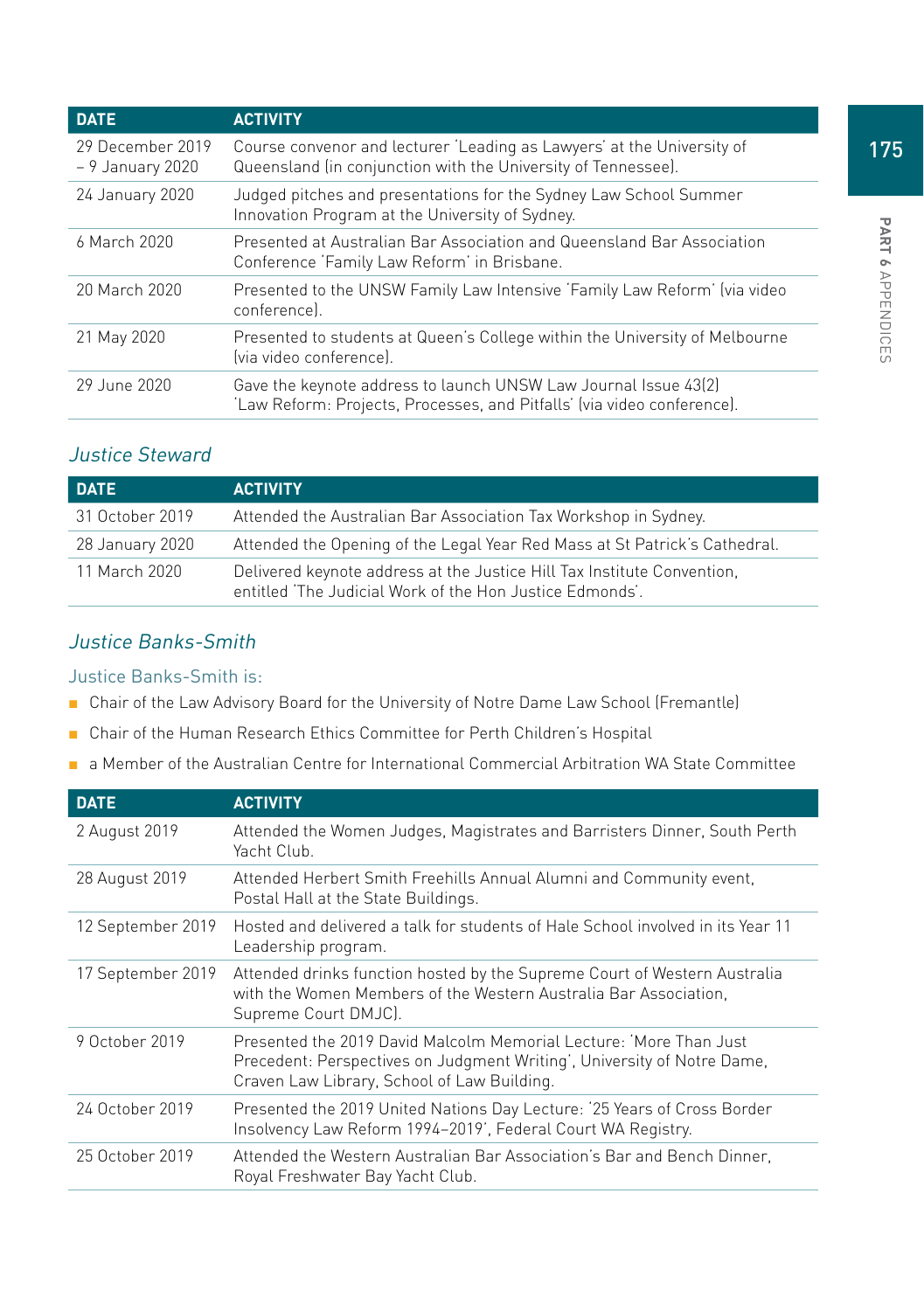| <b>DATE</b>                          | <b>ACTIVITY</b>                                                                                                                            |
|--------------------------------------|--------------------------------------------------------------------------------------------------------------------------------------------|
| 29 December 2019<br>- 9 January 2020 | Course convenor and lecturer 'Leading as Lawyers' at the University of<br>Queensland (in conjunction with the University of Tennessee).    |
| 24 January 2020                      | Judged pitches and presentations for the Sydney Law School Summer<br>Innovation Program at the University of Sydney.                       |
| 6 March 2020                         | Presented at Australian Bar Association and Queensland Bar Association<br>Conference 'Family Law Reform' in Brisbane.                      |
| 20 March 2020                        | Presented to the UNSW Family Law Intensive 'Family Law Reform' (via video<br>conferencel.                                                  |
| 21 May 2020                          | Presented to students at Queen's College within the University of Melbourne<br>(via video conference).                                     |
| 29 June 2020                         | Gave the keynote address to launch UNSW Law Journal Issue 43(2)<br>'Law Reform: Projects, Processes, and Pitfalls' (via video conference). |

## Justice Steward

| <b>DATE</b>     | <b>ACTIVITY</b>                                                                                                                     |
|-----------------|-------------------------------------------------------------------------------------------------------------------------------------|
| 31 October 2019 | Attended the Australian Bar Association Tax Workshop in Sydney.                                                                     |
| 28 January 2020 | Attended the Opening of the Legal Year Red Mass at St Patrick's Cathedral.                                                          |
| 11 March 2020   | Delivered keynote address at the Justice Hill Tax Institute Convention,<br>entitled 'The Judicial Work of the Hon Justice Edmonds'. |

## Justice Banks-Smith

#### Justice Banks-Smith is:

- Chair of the Law Advisory Board for the University of Notre Dame Law School (Fremantle)
- Chair of the Human Research Ethics Committee for Perth Children's Hospital
- a Member of the Australian Centre for International Commercial Arbitration WA State Committee

| <b>DATE</b>       | <b>ACTIVITY</b>                                                                                                                                                                               |
|-------------------|-----------------------------------------------------------------------------------------------------------------------------------------------------------------------------------------------|
| 2 August 2019     | Attended the Women Judges, Magistrates and Barristers Dinner, South Perth<br>Yacht Club.                                                                                                      |
| 28 August 2019    | Attended Herbert Smith Freehills Annual Alumni and Community event.<br>Postal Hall at the State Buildings.                                                                                    |
| 12 September 2019 | Hosted and delivered a talk for students of Hale School involved in its Year 11<br>Leadership program.                                                                                        |
| 17 September 2019 | Attended drinks function hosted by the Supreme Court of Western Australia<br>with the Women Members of the Western Australia Bar Association,<br>Supreme Court DMJC).                         |
| 9 October 2019    | Presented the 2019 David Malcolm Memorial Lecture: 'More Than Just'<br>Precedent: Perspectives on Judgment Writing', University of Notre Dame,<br>Craven Law Library, School of Law Building. |
| 24 October 2019   | Presented the 2019 United Nations Day Lecture: '25 Years of Cross Border<br>Insolvency Law Reform 1994-2019', Federal Court WA Registry.                                                      |
| 25 October 2019   | Attended the Western Australian Bar Association's Bar and Bench Dinner,<br>Royal Freshwater Bay Yacht Club.                                                                                   |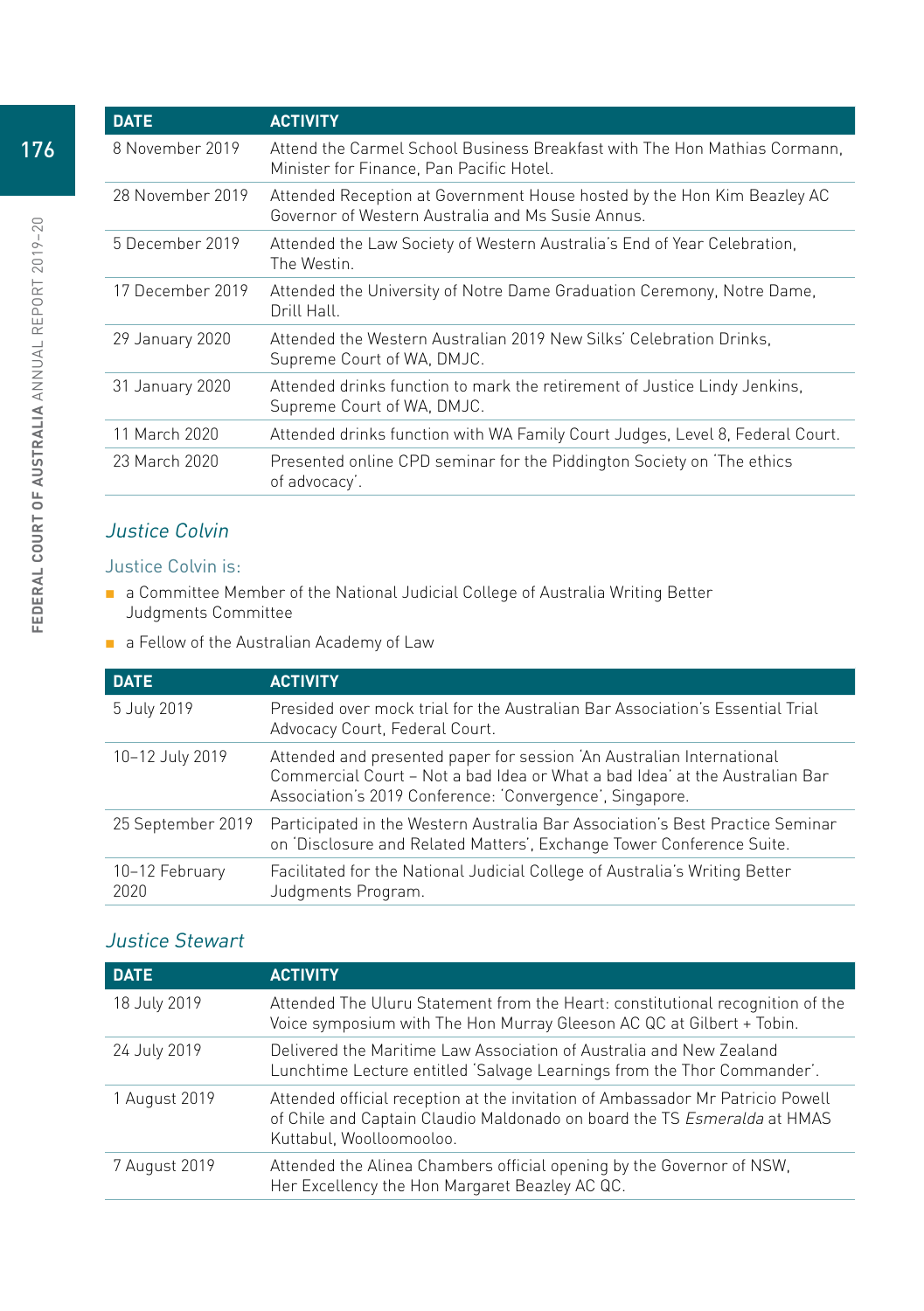|  | <b>DATE</b>      | <b>ACTIVITY</b>                                                                                                             |
|--|------------------|-----------------------------------------------------------------------------------------------------------------------------|
|  | 8 November 2019  | Attend the Carmel School Business Breakfast with The Hon Mathias Cormann.<br>Minister for Finance, Pan Pacific Hotel.       |
|  | 28 November 2019 | Attended Reception at Government House hosted by the Hon Kim Beazley AC<br>Governor of Western Australia and Ms Susie Annus |
|  | 5 December 2019  | Attended the Law Society of Western Australia's End of Year Celebration,<br>The Westin.                                     |
|  | 17 December 2019 | Attended the University of Notre Dame Graduation Ceremony, Notre Dame,<br>Drill Hall.                                       |
|  | 29 January 2020  | Attended the Western Australian 2019 New Silks' Celebration Drinks.<br>Supreme Court of WA, DMJC.                           |
|  | 31 January 2020  | Attended drinks function to mark the retirement of Justice Lindy Jenkins.<br>Supreme Court of WA, DMJC.                     |
|  | 11 March 2020    | Attended drinks function with WA Family Court Judges, Level 8, Federal Court.                                               |
|  | 23 March 2020    | Presented online CPD seminar for the Piddington Society on 'The ethics<br>of advocacy'.                                     |
|  |                  |                                                                                                                             |

## Justice Colvin

#### Justice Colvin is:

- a Committee Member of the National Judicial College of Australia Writing Better Judgments Committee
- a Fellow of the Australian Academy of Law

| <b>DATE</b>            | <b>ACTIVITY</b>                                                                                                                                                                                                  |
|------------------------|------------------------------------------------------------------------------------------------------------------------------------------------------------------------------------------------------------------|
| 5 July 2019            | Presided over mock trial for the Australian Bar Association's Essential Trial<br>Advocacy Court, Federal Court.                                                                                                  |
| 10-12 July 2019        | Attended and presented paper for session 'An Australian International<br>Commercial Court - Not a bad Idea or What a bad Idea' at the Australian Bar<br>Association's 2019 Conference: 'Convergence', Singapore. |
| 25 September 2019      | Participated in the Western Australia Bar Association's Best Practice Seminar<br>on 'Disclosure and Related Matters', Exchange Tower Conference Suite.                                                           |
| 10-12 February<br>2020 | Facilitated for the National Judicial College of Australia's Writing Better<br>Judgments Program.                                                                                                                |
|                        |                                                                                                                                                                                                                  |

## Justice Stewart

| <b>DATE</b>   | <b>ACTIVITY</b>                                                                                                                                                                        |
|---------------|----------------------------------------------------------------------------------------------------------------------------------------------------------------------------------------|
| 18 July 2019  | Attended The Uluru Statement from the Heart: constitutional recognition of the<br>Voice symposium with The Hon Murray Gleeson AC QC at Gilbert + Tobin.                                |
| 24 July 2019  | Delivered the Maritime Law Association of Australia and New Zealand<br>Lunchtime Lecture entitled 'Salvage Learnings from the Thor Commander'.                                         |
| 1 August 2019 | Attended official reception at the invitation of Ambassador Mr Patricio Powell<br>of Chile and Captain Claudio Maldonado on board the TS Esmeralda at HMAS<br>Kuttabul, Woolloomooloo. |
| 7 August 2019 | Attended the Alinea Chambers official opening by the Governor of NSW,<br>Her Excellency the Hon Margaret Beazley AC QC.                                                                |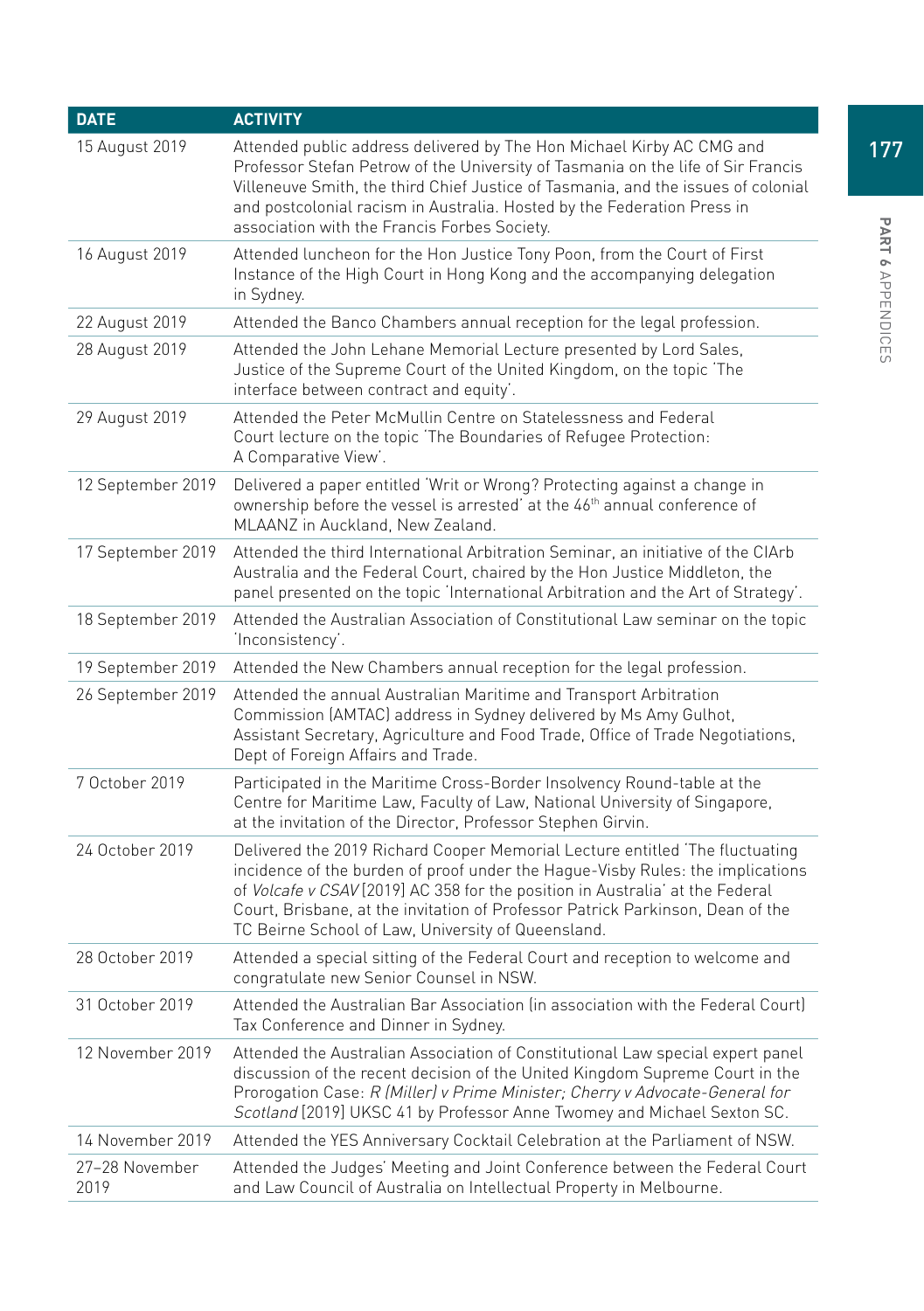| <b>DATE</b>            | <b>ACTIVITY</b>                                                                                                                                                                                                                                                                                                                                                                         |
|------------------------|-----------------------------------------------------------------------------------------------------------------------------------------------------------------------------------------------------------------------------------------------------------------------------------------------------------------------------------------------------------------------------------------|
| 15 August 2019         | Attended public address delivered by The Hon Michael Kirby AC CMG and<br>Professor Stefan Petrow of the University of Tasmania on the life of Sir Francis<br>Villeneuve Smith, the third Chief Justice of Tasmania, and the issues of colonial<br>and postcolonial racism in Australia. Hosted by the Federation Press in<br>association with the Francis Forbes Society.               |
| 16 August 2019         | Attended luncheon for the Hon Justice Tony Poon, from the Court of First<br>Instance of the High Court in Hong Kong and the accompanying delegation<br>in Sydney.                                                                                                                                                                                                                       |
| 22 August 2019         | Attended the Banco Chambers annual reception for the legal profession.                                                                                                                                                                                                                                                                                                                  |
| 28 August 2019         | Attended the John Lehane Memorial Lecture presented by Lord Sales,<br>Justice of the Supreme Court of the United Kingdom, on the topic The<br>interface between contract and equity'.                                                                                                                                                                                                   |
| 29 August 2019         | Attended the Peter McMullin Centre on Statelessness and Federal<br>Court lecture on the topic 'The Boundaries of Refugee Protection:<br>A Comparative View'.                                                                                                                                                                                                                            |
| 12 September 2019      | Delivered a paper entitled 'Writ or Wrong? Protecting against a change in<br>ownership before the vessel is arrested' at the 46 <sup>th</sup> annual conference of<br>MLAANZ in Auckland, New Zealand.                                                                                                                                                                                  |
| 17 September 2019      | Attended the third International Arbitration Seminar, an initiative of the CIArb<br>Australia and the Federal Court, chaired by the Hon Justice Middleton, the<br>panel presented on the topic 'International Arbitration and the Art of Strategy'.                                                                                                                                     |
| 18 September 2019      | Attended the Australian Association of Constitutional Law seminar on the topic<br>'Inconsistency'.                                                                                                                                                                                                                                                                                      |
| 19 September 2019      | Attended the New Chambers annual reception for the legal profession.                                                                                                                                                                                                                                                                                                                    |
| 26 September 2019      | Attended the annual Australian Maritime and Transport Arbitration<br>Commission (AMTAC) address in Sydney delivered by Ms Amy Gulhot,<br>Assistant Secretary, Agriculture and Food Trade, Office of Trade Negotiations,<br>Dept of Foreign Affairs and Trade.                                                                                                                           |
| 7 October 2019         | Participated in the Maritime Cross-Border Insolvency Round-table at the<br>Centre for Maritime Law, Faculty of Law, National University of Singapore,<br>at the invitation of the Director, Professor Stephen Girvin.                                                                                                                                                                   |
| 24 October 2019        | Delivered the 2019 Richard Cooper Memorial Lecture entitled 'The fluctuating<br>incidence of the burden of proof under the Hague-Visby Rules: the implications<br>of Volcafe v CSAV [2019] AC 358 for the position in Australia' at the Federal<br>Court, Brisbane, at the invitation of Professor Patrick Parkinson, Dean of the<br>TC Beirne School of Law, University of Queensland. |
| 28 October 2019        | Attended a special sitting of the Federal Court and reception to welcome and<br>congratulate new Senior Counsel in NSW.                                                                                                                                                                                                                                                                 |
| 31 October 2019        | Attended the Australian Bar Association (in association with the Federal Court)<br>Tax Conference and Dinner in Sydney.                                                                                                                                                                                                                                                                 |
| 12 November 2019       | Attended the Australian Association of Constitutional Law special expert panel<br>discussion of the recent decision of the United Kingdom Supreme Court in the<br>Prorogation Case: R (Miller) v Prime Minister; Cherry v Advocate-General for<br>Scotland [2019] UKSC 41 by Professor Anne Twomey and Michael Sexton SC.                                                               |
| 14 November 2019       | Attended the YES Anniversary Cocktail Celebration at the Parliament of NSW.                                                                                                                                                                                                                                                                                                             |
| 27–28 November<br>2019 | Attended the Judges' Meeting and Joint Conference between the Federal Court<br>and Law Council of Australia on Intellectual Property in Melbourne.                                                                                                                                                                                                                                      |

177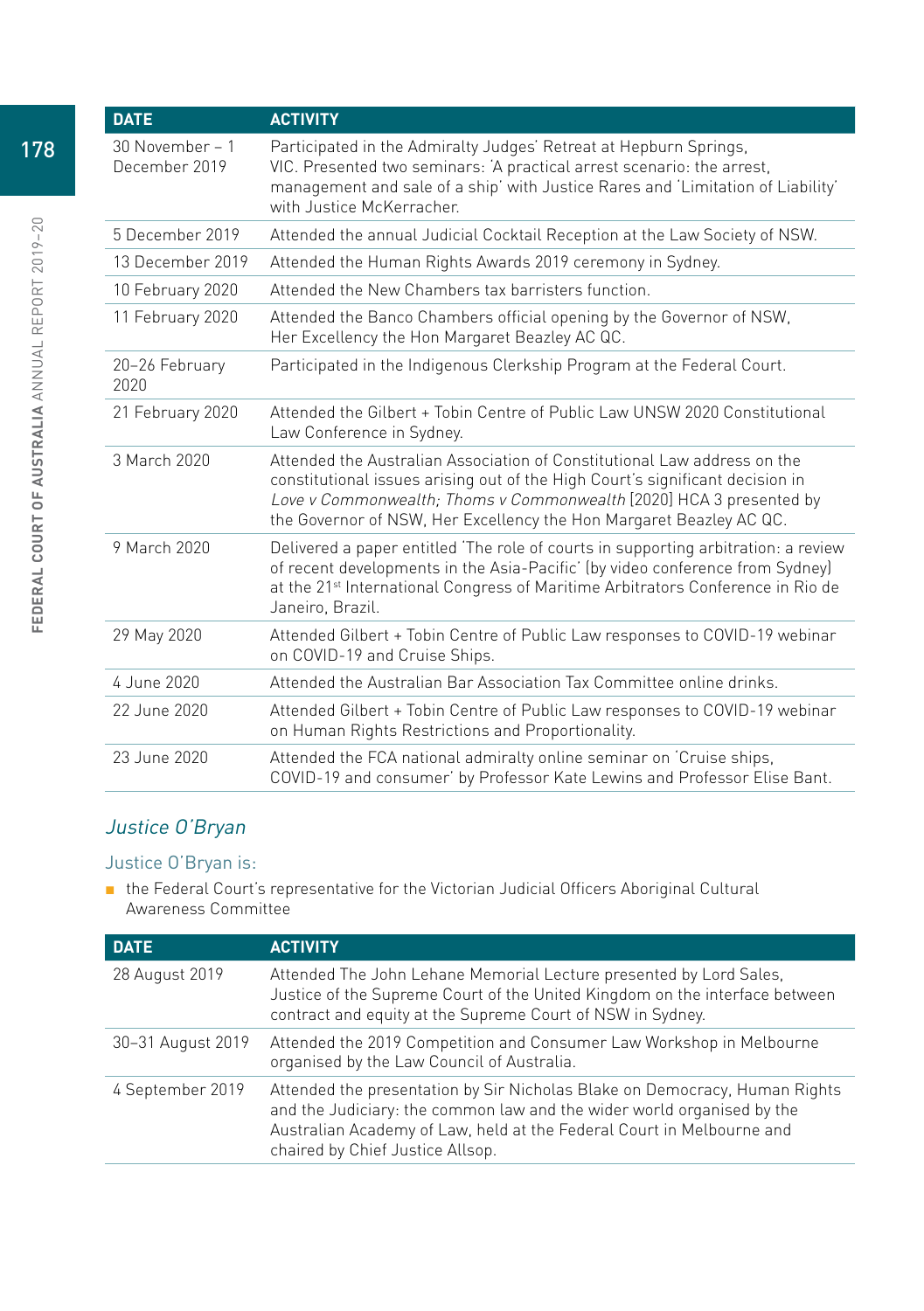| <b>DATE</b>                      | <b>ACTIVITY</b>                                                                                                                                                                                                                                                                                         |
|----------------------------------|---------------------------------------------------------------------------------------------------------------------------------------------------------------------------------------------------------------------------------------------------------------------------------------------------------|
| 30 November - 1<br>December 2019 | Participated in the Admiralty Judges' Retreat at Hepburn Springs,<br>VIC. Presented two seminars: 'A practical arrest scenario: the arrest,<br>management and sale of a ship' with Justice Rares and 'Limitation of Liability'<br>with Justice McKerracher.                                             |
| 5 December 2019                  | Attended the annual Judicial Cocktail Reception at the Law Society of NSW.                                                                                                                                                                                                                              |
| 13 December 2019                 | Attended the Human Rights Awards 2019 ceremony in Sydney.                                                                                                                                                                                                                                               |
| 10 February 2020                 | Attended the New Chambers tax barristers function.                                                                                                                                                                                                                                                      |
| 11 February 2020                 | Attended the Banco Chambers official opening by the Governor of NSW,<br>Her Excellency the Hon Margaret Beazley AC QC.                                                                                                                                                                                  |
| 20-26 February<br>2020           | Participated in the Indigenous Clerkship Program at the Federal Court.                                                                                                                                                                                                                                  |
| 21 February 2020                 | Attended the Gilbert + Tobin Centre of Public Law UNSW 2020 Constitutional<br>Law Conference in Sydney.                                                                                                                                                                                                 |
| 3 March 2020                     | Attended the Australian Association of Constitutional Law address on the<br>constitutional issues arising out of the High Court's significant decision in<br>Love v Commonwealth; Thoms v Commonwealth [2020] HCA 3 presented by<br>the Governor of NSW, Her Excellency the Hon Margaret Beazley AC QC. |
| 9 March 2020                     | Delivered a paper entitled The role of courts in supporting arbitration: a review<br>of recent developments in the Asia-Pacific' (by video conference from Sydney)<br>at the 21 <sup>st</sup> International Congress of Maritime Arbitrators Conference in Rio de<br>Janeiro, Brazil.                   |
| 29 May 2020                      | Attended Gilbert + Tobin Centre of Public Law responses to COVID-19 webinar<br>on COVID-19 and Cruise Ships.                                                                                                                                                                                            |
| 4 June 2020                      | Attended the Australian Bar Association Tax Committee online drinks.                                                                                                                                                                                                                                    |
| 22 June 2020                     | Attended Gilbert + Tobin Centre of Public Law responses to COVID-19 webinar<br>on Human Rights Restrictions and Proportionality.                                                                                                                                                                        |
| 23 June 2020                     | Attended the FCA national admiralty online seminar on 'Cruise ships,<br>COVID-19 and consumer' by Professor Kate Lewins and Professor Elise Bant.                                                                                                                                                       |

## Justice O'Bryan

#### Justice O'Bryan is:

■ the Federal Court's representative for the Victorian Judicial Officers Aboriginal Cultural Awareness Committee

| <b>DATE</b>       | <b>ACTIVITY</b>                                                                                                                                                                                                                                                   |
|-------------------|-------------------------------------------------------------------------------------------------------------------------------------------------------------------------------------------------------------------------------------------------------------------|
| 28 August 2019    | Attended The John Lehane Memorial Lecture presented by Lord Sales,<br>Justice of the Supreme Court of the United Kingdom on the interface between<br>contract and equity at the Supreme Court of NSW in Sydney.                                                   |
| 30-31 August 2019 | Attended the 2019 Competition and Consumer Law Workshop in Melbourne<br>organised by the Law Council of Australia.                                                                                                                                                |
| 4 September 2019  | Attended the presentation by Sir Nicholas Blake on Democracy, Human Rights<br>and the Judiciary: the common law and the wider world organised by the<br>Australian Academy of Law, held at the Federal Court in Melbourne and<br>chaired by Chief Justice Allsop. |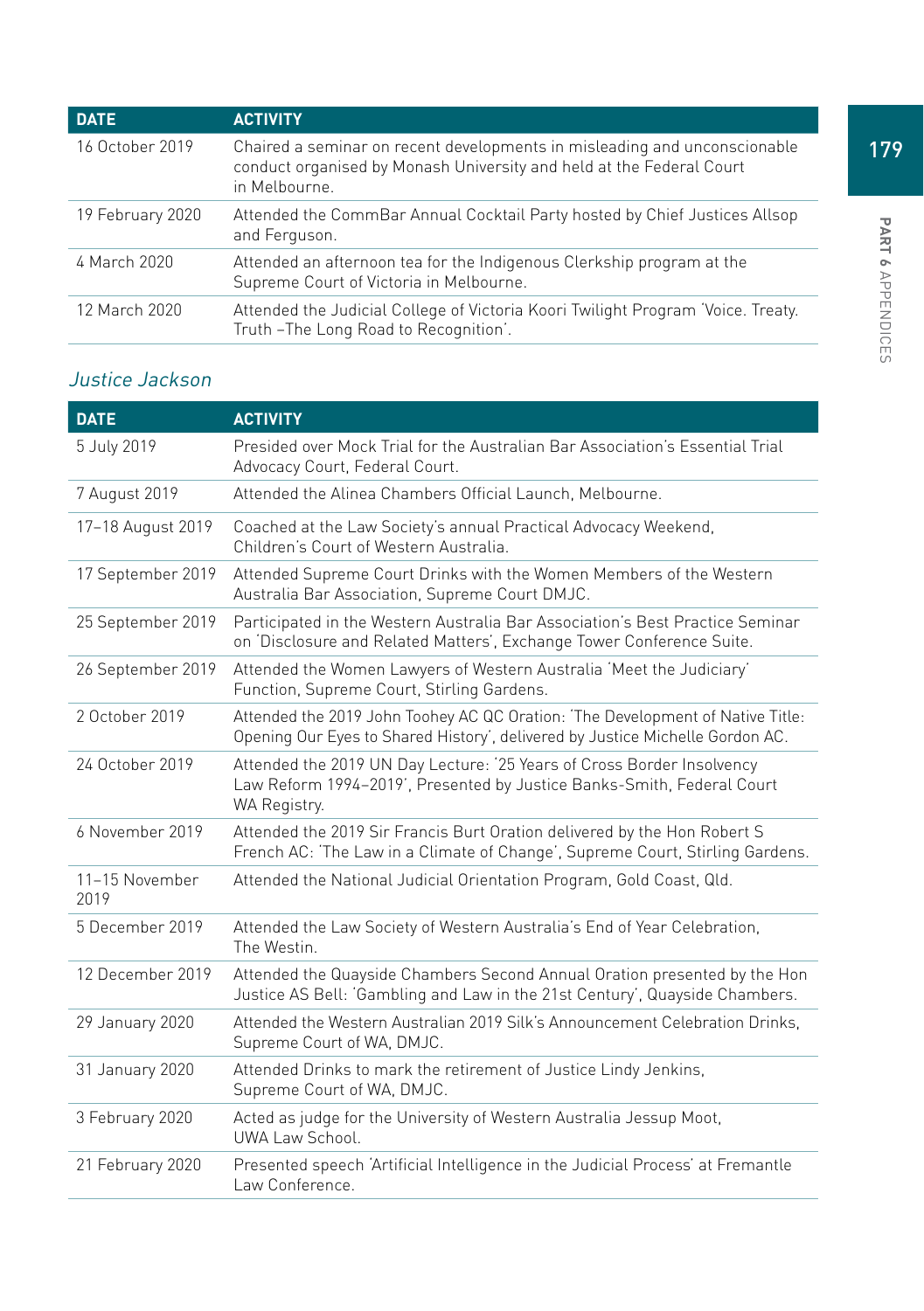| <b>DATE</b>      | <b>ACTIVITY</b>                                                                                                                                                    |
|------------------|--------------------------------------------------------------------------------------------------------------------------------------------------------------------|
| 16 October 2019  | Chaired a seminar on recent developments in misleading and unconscionable<br>conduct organised by Monash University and held at the Federal Court<br>in Melbourne. |
| 19 February 2020 | Attended the CommBar Annual Cocktail Party hosted by Chief Justices Allsop<br>and Ferguson.                                                                        |
| 4 March 2020     | Attended an afternoon tea for the Indigenous Clerkship program at the<br>Supreme Court of Victoria in Melbourne.                                                   |
| 12 March 2020    | Attended the Judicial College of Victoria Koori Twilight Program 'Voice. Treaty.<br>Truth-The Long Road to Recognition'.                                           |

# Justice Jackson

| <b>DATE</b>            | <b>ACTIVITY</b>                                                                                                                                                  |
|------------------------|------------------------------------------------------------------------------------------------------------------------------------------------------------------|
| 5 July 2019            | Presided over Mock Trial for the Australian Bar Association's Essential Trial<br>Advocacy Court, Federal Court.                                                  |
| 7 August 2019          | Attended the Alinea Chambers Official Launch, Melbourne.                                                                                                         |
| 17-18 August 2019      | Coached at the Law Society's annual Practical Advocacy Weekend,<br>Children's Court of Western Australia.                                                        |
| 17 September 2019      | Attended Supreme Court Drinks with the Women Members of the Western<br>Australia Bar Association, Supreme Court DMJC.                                            |
| 25 September 2019      | Participated in the Western Australia Bar Association's Best Practice Seminar<br>on 'Disclosure and Related Matters', Exchange Tower Conference Suite.           |
| 26 September 2019      | Attended the Women Lawyers of Western Australia 'Meet the Judiciary'<br>Function, Supreme Court, Stirling Gardens.                                               |
| 2 October 2019         | Attended the 2019 John Toohey AC QC Oration: 'The Development of Native Title:<br>Opening Our Eyes to Shared History', delivered by Justice Michelle Gordon AC.  |
| 24 October 2019        | Attended the 2019 UN Day Lecture: '25 Years of Cross Border Insolvency<br>Law Reform 1994-2019', Presented by Justice Banks-Smith, Federal Court<br>WA Registry. |
| 6 November 2019        | Attended the 2019 Sir Francis Burt Oration delivered by the Hon Robert S<br>French AC: 'The Law in a Climate of Change', Supreme Court, Stirling Gardens.        |
| 11-15 November<br>2019 | Attended the National Judicial Orientation Program, Gold Coast, Qld.                                                                                             |
| 5 December 2019        | Attended the Law Society of Western Australia's End of Year Celebration,<br>The Westin.                                                                          |
| 12 December 2019       | Attended the Quayside Chambers Second Annual Oration presented by the Hon<br>Justice AS Bell: 'Gambling and Law in the 21st Century', Quayside Chambers.         |
| 29 January 2020        | Attended the Western Australian 2019 Silk's Announcement Celebration Drinks,<br>Supreme Court of WA, DMJC.                                                       |
| 31 January 2020        | Attended Drinks to mark the retirement of Justice Lindy Jenkins,<br>Supreme Court of WA, DMJC.                                                                   |
| 3 February 2020        | Acted as judge for the University of Western Australia Jessup Moot,<br>UWA Law School.                                                                           |
| 21 February 2020       | Presented speech 'Artificial Intelligence in the Judicial Process' at Fremantle<br>Law Conference.                                                               |